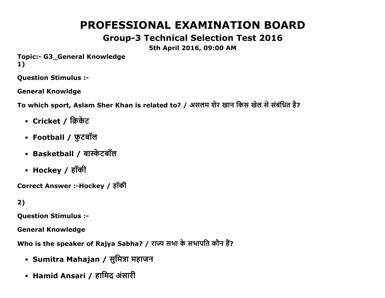# PROFESSIONAL EXAMINATION BOARD

# Group3 Technical Selection Test 2016

### 5th April 2016, 09:00 AM

Topic:- G3\_General Knowledge 1)

Question Stimulus :

General Knowldge

To which sport, Aslam Sher Khan is related to? / असलम शेर खान किस खेल से संबंधित है?

- Cricket / क्रिकेट
- Football / फुटबॉल
- Basketball / बास्केटबॉल
- Hockey / हॉकी

Correct Answer :-Hockey / हॉकी

2)

Question Stimulus :

General Knowledge

Who is the speaker of Rajya Sabha? / राज्य सभा के सभापति कौन हैं?

- Sumitra Mahajan / सुमित्रा महाजन
- Hamid Ansari / हामिद अंसारी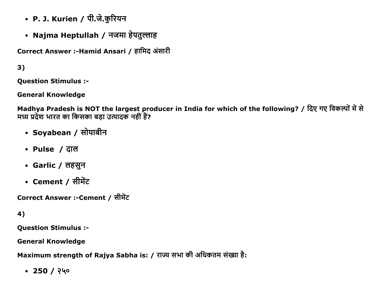- P. J. Kurien / पी.जे.कुरियन
- Najma Heptullah / नजमा हेपतुल्लाह

Correct Answer :-Hamid Ansari / हामिद अंसारी

3)

Question Stimulus :

General Knowledge

Madhya Pradesh is NOT the largest producer in India for which of the following? / दिए गए विकल्पों में से मध्य प्रदेश भारत का किसका बड़ा उत्पादक नहीं हैं?

- Soyabean / सोयाबीन
- Pulse / ĉĭल
- Garlic / लहसून
- Cement / सीमेंट

Correct Answer :-Cement / सीमेंट

4)

Question Stimulus :

General Knowledge

Maximum strength of Rajya Sabha is: / राज्य सभा की अधिकतम संख्या है:

 $-250/$  ? 40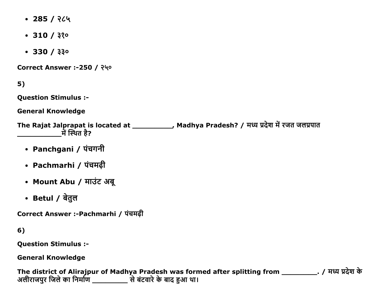- $\cdot$  285 / २८५
- $\cdot$  310 /  $330$
- $\cdot$  330 / 330

Correct Answer :-250 / २५०

 $5)$ 

**Question Stimulus :-**

**General Knowledge** 

The Rajat Jalprapat is located at \_\_\_\_\_\_\_\_\_\_, Madhya Pradesh? / मध्य प्रदेश में रजत जलप्रपात <u>में स्थित है?</u>

- Panchgani / पंचगनी
- Pachmarhi / पंचमढ़ी
- Mount Abu / माउंट अबू
- Betul / बेतुल

Correct Answer :-Pachmarhi / पंचमढ़ी

6)

**Question Stimulus :-**

**General Knowledge** 

The district of Alirajpur of Madhya Pradesh was formed after splitting from \_\_\_\_\_\_\_\_\_\_\_. / मध्य प्रदेश के अलीराजपुर जिले का निर्माण \_\_\_\_\_\_\_\_\_\_\_\_\_\_\_\_ से बंटवारे के बाद हुआ था।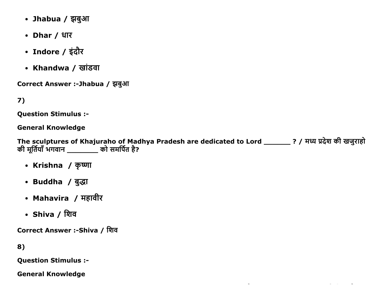- Jhabua / झबुआ
- Dhar / धार
- Indore / इंदौर
- Khandwa / खांडवा

Correct Answer :-Jhabua / झबुआ

7)

**Question Stimulus :-**

**General Knowledge** 

The sculptures of Khajuraho of Madhya Pradesh are dedicated to Lord \_\_\_\_\_\_\_? / मध्य प्रदेश की खजुराहो की मूर्तियाँ भगवान \_\_\_\_\_\_\_\_\_ को समर्पित है?

- Krishna / कृष्णा
- Buddha / बुद्धा
- Mahavira / महावीर
- Shiva / शिव

Correct Answer :-Shiva / शिव

8)

**Question Stimulus :-**

**General Knowledge**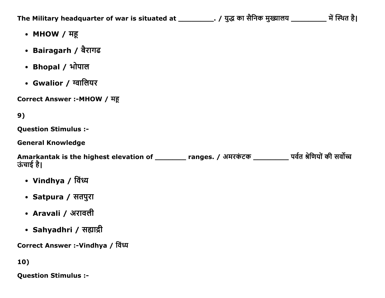The Military headquarter of war is situated at \_\_\_\_\_\_\_\_\_\_. / युद्ध का सैनिक मुख्यालय \_\_\_\_\_\_\_\_\_\_ में स्थित है।

- MHOW / महू
- Bairagarh / बैरागढ
- Bhopal / भोपाल
- Gwalior / ग्वालियर

Correct Answer :- MHOW / मह

### 9)

Question Stimulus :

General Knowledge

Amarkantak is the highest elevation of \_\_\_\_\_\_\_\_ ranges. / अमरकंटक \_\_\_\_\_\_\_\_\_ पर्वत श्रेणियों की सर्वोच्च ऊंचाई है।

- Vindhya / বিংঘ
- Satpura / सतपुरा
- Aravali / अरावली
- Sahyadhri / सह्याद्री

Correct Answer :-Vindhya / विध्य

10)

Question Stimulus :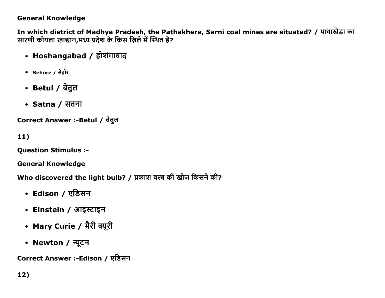#### **General Knowledge**

In which district of Madhya Pradesh, the Pathakhera, Sarni coal mines are situated? / पाथाखेड़ा का सारणी कोयला खाद्यान,मध्य प्रदेश के किस ज़िले में स्थित है?

- Hoshangabad / होशंगाबाद
- Sehore / सेहोर
- Betul / बेतुल
- Satna / सतना

Correct Answer :-Betul / बेतुल

 $11)$ 

**Question Stimulus :-**

**General Knowledge** 

Who discovered the light bulb? / प्रकाश बल्ब की खोज किसने की?

- Edison / एडिसन
- Einstein / आइंस्टाइन
- Mary Curie / मैरी क्यूरी
- Newton / न्यूटन

Correct Answer :-Edison / एडिसन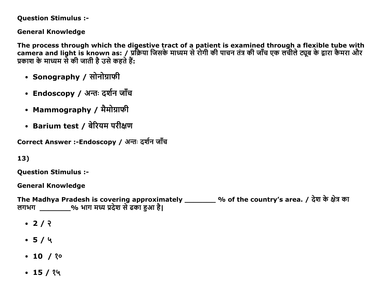**Question Stimulus :-**

**General Knowledge** 

The process through which the digestive tract of a patient is examined through a flexible tube with camera and light is known as: / प्रक्रिया जिसके माध्यम से रोगी की पाचन तंत्र की जाँच एक लचीले ट्यूब के द्वारा कैमरा और प्रकाश के माध्यम से की जाती है उसे कहते हैं:

- Sonography / सोनोग्राफी
- Endoscopy / अन्तः दर्शन जाँच
- Mammography / मैमोग्राफी
- Barium test / बेरियम परीक्षण

Correct Answer :-Endoscopy / अन्तः दर्शन जाँच

13)

**Ouestion Stimulus :-**

**General Knowledge** 

The Madhya Pradesh is covering approximately \_\_\_\_\_\_\_\_ % of the country's area. / देश के क्षेत्र का 

- $\cdot$  2/  $\sqrt{2}$
- $-5/4$
- $\cdot$  10 / ? $\circ$
- $\cdot$  15 / १५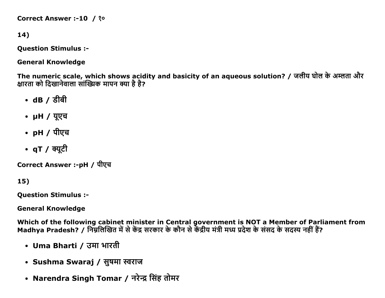```
Correct Answer :-10 / ?º
```
### 14)

**Question Stimulus :-**

**General Knowledge** 

The numeric scale, which shows acidity and basicity of an aqueous solution? / जलीय घोल के अम्लता और क्षारता को दिखानेवाला सांख्यिक मापन क्या है है?

- $\cdot$  dB / डीबी
- µH / यूएच
- pH / पीएच
- qT / क्यूटी

Correct Answer :-pH / पीएच

15)

**Ouestion Stimulus :-**

**General Knowledge** 

Which of the following cabinet minister in Central government is NOT a Member of Parliament from<br>Madhya Pradesh? / निम्नलिखित में से केंद्र सरकार के कौन से केंद्रीय मंत्री मध्य प्रदेश के संसद के सदस्य नहीं हैं?

- Uma Bharti / उमा भारती
- Sushma Swaraj / सुषमा स्वराज
- Narendra Singh Tomar / नरेन्द्र सिंह तोमर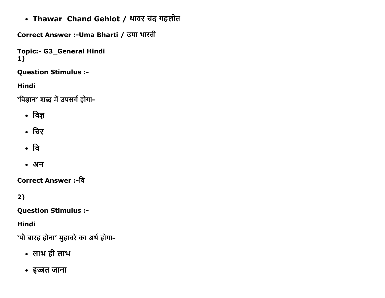• Thawar Chand Gehlot / थावर चंद गहलोत

Correct Answer :-Uma Bharti / उमा भारती

```
Topic:- G3_General Hindi
1)
```
**Question Stimulus :-**

Hindi

'विज्ञान' शब्द में उपसर्ग होगा-

- विज्ञ
- चिर
- वि
- अन

Correct Answer :-वि

 $2)$ 

**Question Stimulus :-**

**Hindi** 

'पौ बारह होना' मुहावरे का अर्थ होगा-

- लाभ ही लाभ
- इज्जत जाना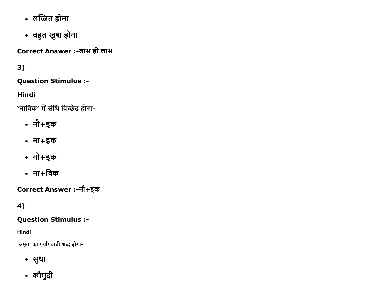- लज्जित होना
- बहुत खुश होना

Correct Answer :-लाभ ही लाभ

 $3)$ 

**Question Stimulus :-**

**Hindi** 

'नाविक' में संधि विच्छेद होगा-

- नौ+इक
- ना+इक
- नो+इक
- $\cdot$  ना $+$ विक

Correct Answer :-नौ+इक

### 4)

#### **Question Stimulus :-**

**Hindi** 

`अमृत' का पर्यायवाची शब्द होगा-

- सुधा
- कौमुदी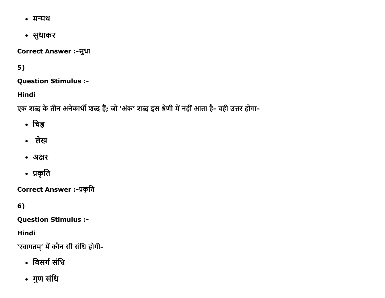- मन्मथ
- सुधाकर

Correct Answer :- सुधा

### $5)$

**Question Stimulus :-**

**Hindi** 

एक शब्द के तीन अनेकार्थी शब्द हैं; जो 'अंक' शब्द इस श्रेणी में नहीं आता है- वही उत्तर होगा-

- चिह्न
- लेख
- अक्षर
- प्रकृति

Correct Answer :- प्रकृति

 $6)$ 

**Question Stimulus :-**

**Hindi** 

'स्वागतम्' में कौन सी संधि होगी-

- विसर्ग संधि
- गुण संधि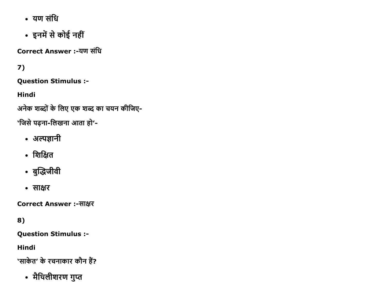- यण संधि
- इनमें से कोई नहीं

**Correct Answer :-यण संधि** 

## $7)$

**Question Stimulus :-**

**Hindi** 

अनेक शब्दों के लिए एक शब्द का चयन कीजिए-

'जिसे पढ़ना-लिखना आता हो'-

- अल्पज्ञानी
- शिक्षित
- बुद्धिजीवी
- साक्षर

**Correct Answer:-साक्षर** 

### 8)

**Question Stimulus :-**

**Hindi** 

```
'साकेत' के रचनाकार कौन हैं?
```
• मैथिलीशरण गुप्त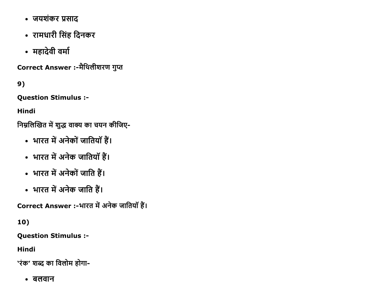- जयशंकर प्रसाद
- रामधारी सिंह दिनकर
- महादेवी वर्मा

Correct Answer :-मैथिलीशरण गुप्त

9)

**Question Stimulus :-**

**Hindi** 

निम्नलिखित में शुद्ध वाक्य का चयन कीजिए-

- भारत में अनेकों जातियाँ हैं।
- भारत में अनेक जातियाँ हैं।
- भारत में अनेकों जाति हैं।
- भारत में अनेक जाति हैं।

Correct Answer :-भारत में अनेक जातियाँ हैं।

10)

**Question Stimulus :-**

**Hindi** 

'रंक' शब्द का विलोम होगा-

• बलवान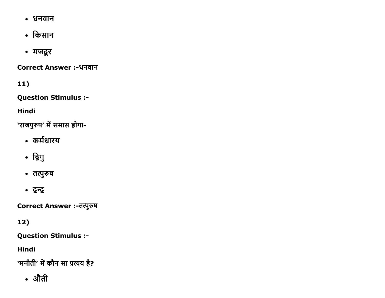- धनवान
- किसान
- मजदूर

**Correct Answer :-धनवान** 

11)

**Question Stimulus :-**

**Hindi** 

'राजपुरुष' में समास होगा-

- कर्मधारय
- द्विगु
- तत्पुरुष
- द्वन्द्व

Correct Answer :- तत्पुरुष

 $12)$ 

**Question Stimulus :-**

**Hindi** 

'मनौती' में कौन सा प्रत्यय है?

• औती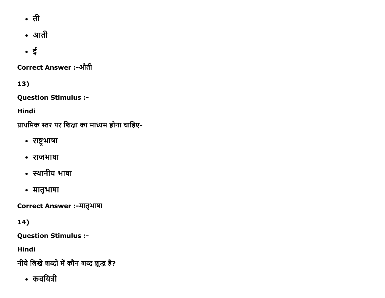- ती
- आती
- $\bullet$  ई

**Correct Answer :-औती** 

13)

**Question Stimulus :-**

**Hindi** 

प्राथमिक स्तर पर शिक्षा का माध्यम होना चाहिए-

- राष्ट्रभाषा
- राजभाषा
- स्थानीय भाषा
- मातृभाषा

Correct Answer :- मातृभाषा

14)

**Question Stimulus :-**

**Hindi** 

नीचे लिखे शब्दों में कौन शब्द शुद्ध है?

• कवयित्री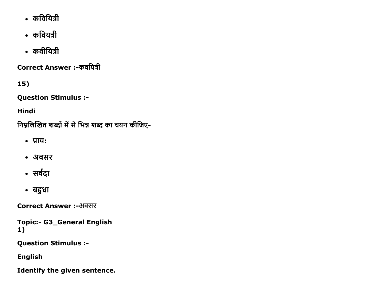- कवियित्री
- कवियत्री
- कवीयित्री

Correct Answer :-कवयित्री

 $15)$ 

**Question Stimulus :-**

**Hindi** 

निम्नलिखित शब्दों में से भिन्न शब्द का चयन कीजिए-

- प्राय:
- अवसर
- सर्वदा
- बहुधा

Correct Answer :-अवसर

**Topic:- G3\_General English**  $1)$ 

**Question Stimulus :-**

**English** 

Identify the given sentence.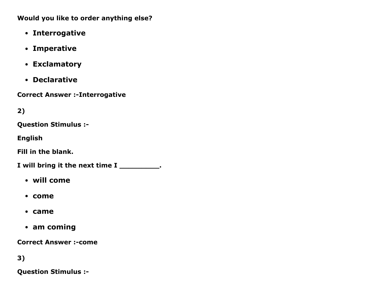Would you like to order anything else?

- Interrogative
- Imperative
- Exclamatory
- Declarative

**Correct Answer :- Interrogative** 

2)

Question Stimulus :

English

Fill in the blank.

I will bring it the next time I \_\_\_\_\_\_\_\_\_.

- will come
- come
- came
- am coming

**Correct Answer :- come** 

3)

Question Stimulus :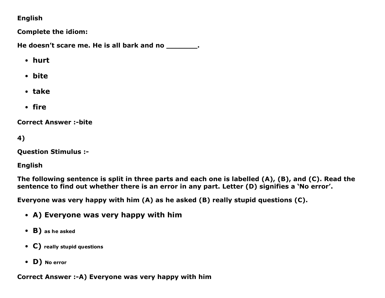#### English

Complete the idiom:

He doesn't scare me. He is all bark and no  $\qquad \qquad$ .

- hurt
- bite
- take
- fire

**Correct Answer :-bite** 

4)

Question Stimulus :

English

The following sentence is split in three parts and each one is labelled (A), (B), and (C). Read the sentence to find out whether there is an error in any part. Letter (D) signifies a 'No error'.

Everyone was very happy with him (A) as he asked (B) really stupid questions (C).

- A) Everyone was very happy with him
- B) as he asked
- C) really stupid questions
- D) No error

Correct Answer :- A) Everyone was very happy with him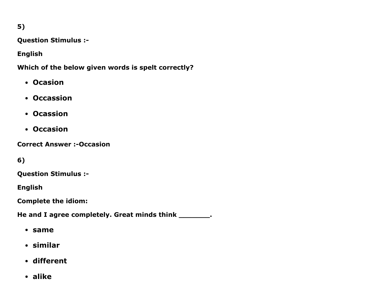5)

Question Stimulus :

English

Which of the below given words is spelt correctly?

- Ocasion
- Occassion
- Ocassion
- Occasion

**Correct Answer :- Occasion** 

6)

Question Stimulus :

English

Complete the idiom:

He and I agree completely. Great minds think \_\_\_\_\_\_\_\_.

- same
- similar
- different
- alike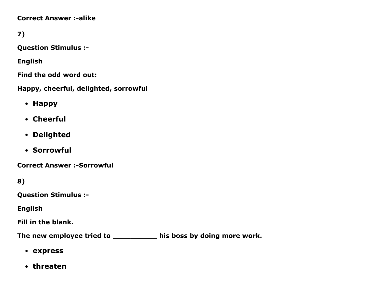**Correct Answer :-alike** 

7)

Question Stimulus :

English

Find the odd word out:

Happy, cheerful, delighted, sorrowful

- Happy
- Cheerful
- Delighted
- Sorrowful

**Correct Answer :- Sorrowful** 

8)

Question Stimulus :

English

Fill in the blank.

The new employee tried to \_\_\_\_\_\_\_\_\_\_\_ his boss by doing more work.

- express
- threaten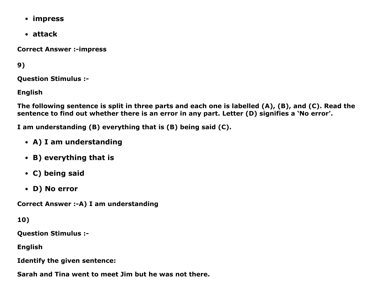- impress
- attack

**Correct Answer :- impress** 

9)

Question Stimulus :

English

The following sentence is split in three parts and each one is labelled (A), (B), and (C). Read the sentence to find out whether there is an error in any part. Letter (D) signifies a 'No error'.

I am understanding (B) everything that is (B) being said (C).

- A) I am understanding
- B) everything that is
- C) being said
- D) No error

Correct Answer :- A) I am understanding

10)

Question Stimulus :

English

Identify the given sentence:

Sarah and Tina went to meet Jim but he was not there.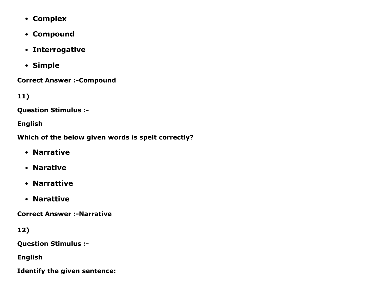- Complex
- Compound
- Interrogative
- Simple

**Correct Answer :- Compound** 

11)

Question Stimulus :

English

Which of the below given words is spelt correctly?

- Narrative
- Narative
- Narrattive
- Narattive

**Correct Answer :-Narrative** 

12)

Question Stimulus :

English

Identify the given sentence: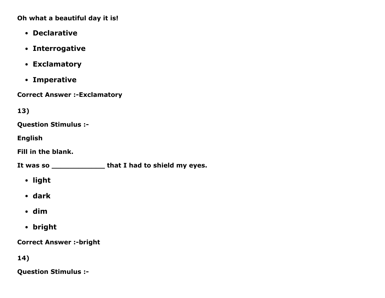Oh what a beautiful day it is!

- Declarative
- Interrogative
- Exclamatory
- Imperative

**Correct Answer :-Exclamatory** 

13)

Question Stimulus :

English

Fill in the blank.

It was so \_\_\_\_\_\_\_\_\_\_\_\_\_\_\_\_ that I had to shield my eyes.

- light
- dark
- dim
- bright

**Correct Answer :-bright** 

14)

Question Stimulus :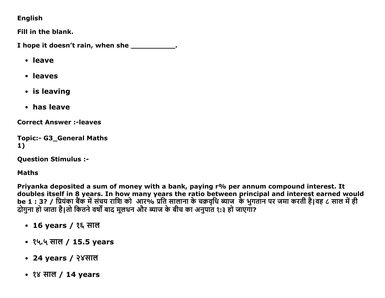#### English

Fill in the blank.

I hope it doesn't rain, when she \_\_\_\_\_\_\_\_\_\_\_\_.

- leave
- leaves
- is leaving
- has leave

**Correct Answer :- leaves** 

```
Topic:- G3_General Maths
1)
```
**Question Stimulus :-**

**Maths** 

Priyanka deposited a sum of money with a bank, paying r% per annum compound interest. It doubles itself in 8 years. In how many years the ratio between principal and interest earned would be 1 : 3? / प्रियंका बैंक में संचय राशि को आर% प्रति सालाना के चक्रवृधि ब्याज के भुगतान पर जमा करती है।वह ८ साल में ही दोगुना हो जाता है।तो कितने वर्षों बाद मूलधन और ब्याज के बीच का अनुपात १:३ हो जाएगा?

- 16 years / १६ साल
- १५.५ साल / 15.5 years
- 24 years / २४साल
- $38 \overline{4}$  HIG / 14 years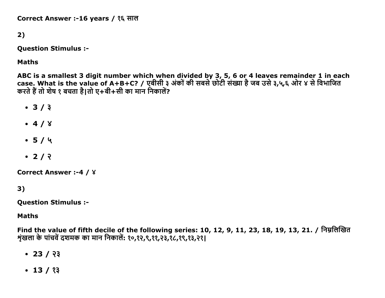Correct Answer :-16 years / १६ साल

### 2)

**Question Stimulus :-**

**Maths** 

ABC is a smallest 3 digit number which when divided by 3, 5, 6 or 4 leaves remainder 1 in each case. What is the value of A+B+C? / एबीसी ३ अंकों की सबसे छोटी संख्या है जब उसे ३,५,६ ओर ४ से विभाजित करते हैं तो शेष १ बचता है।तो ए+बी+सी का मान निकालें?

- $3/3$
- $-4/8$
- $-5/4$
- $\cdot$  2/  $\sqrt{2}$

```
Correct Answer :- 4 / 8
```
 $3)$ 

**Question Stimulus :-**

**Maths** 

Find the value of fifth decile of the following series: 10, 12, 9, 11, 23, 18, 19, 13, 21. / निम्नलिखित शृंखला के पांचवें दशमक का मान निकालें: १०,१२,९,११,२३,१८,१९,१३,२१।

- $\cdot$  23 / २३
- $\cdot$  13 / १३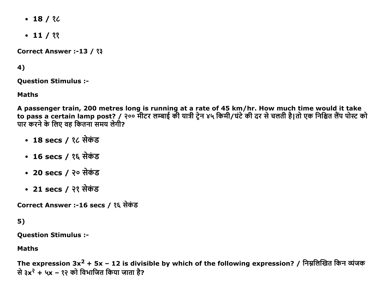- $-18/$  ? $C$
- $-11 / 22$

Correct Answer :-13 / ?3

### 4)

Question Stimulus :

Maths

A passenger train, 200 metres long is running at a rate of 45 km/hr. How much time would it take to pass a certain lamp post? / २०० मीटर लम्बाई की यात्री ट्रेन ४५ किमी/घंटे की दर से चलती है।तो एक निश्चित लैंप पोस्ट को <u>पार करने के लिए वह कितना समय लेगी?</u>

- 18 secs / १८ सेकंड
- 16 secs / १६ सेकंड
- 20 secs / २० सेकंड
- 21 secs / २१ सेकंड

Correct Answer :-16 secs / १६ सेकंड

### 5)

Question Stimulus :

Maths

The expression 3x<sup>2</sup> + 5x – 12 is divisible by which of the following expression? / निम्नलिखित किन व्यंजक से ३x<sup>२</sup> + ५x – १२ को विभाजित किया जाता है?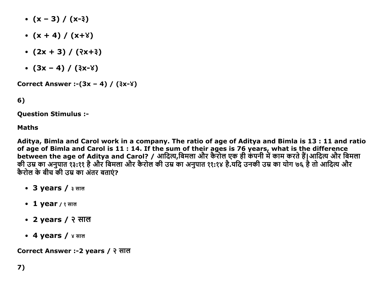- $\bullet$  (x 3) / (x-3)
- $\bullet$  (x + 4) / (x+\)
- $(2x + 3) / (3x+3)$
- $(3x 4) / (3x 8)$

Correct Answer :- $(3x - 4) / (3x - 8)$ 

6)

Question Stimulus :

#### Maths

Aditya, Bimla and Carol work in a company. The ratio of age of Aditya and Bimla is 13 : 11 and ratio of age of Bimla and Carol is 11 : 14. If the sum of their ages is 76 years, what is the difference between the age of Aditya and Carol? / आदित्य,बिमला और कैरोल एक ही कंपनी में काम करते हैं|आदित्य और बिमला की उम्र का अनुपात १३:११ है और बिमला और कैरोल की उम्र का अनुपात ११:१४ है.यदि उनकी उम्र का योग ७६ है तो आदित्य और कैरोल के बीच की उम्र का अंतर बताएं?

- 3 years / ३ साल
- 1 year / १ साल
- 2 years / २ साल
- 4 years / ४ साल

Correct Answer :-2 years / २ साल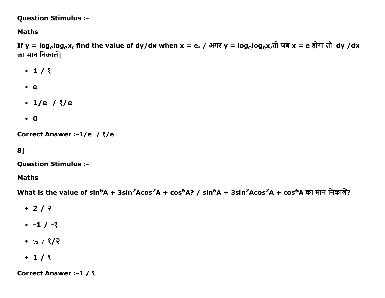**Question Stimulus :-**

#### **Maths**

If y = log<sub>e</sub>log<sub>e</sub>x, find the value of dy/dx when x = e. / अगर y = log<sub>e</sub>log<sub>e</sub>x,तो जब x = e होगा तो dy /dx का मान निकालें।

- $-1/3$
- $e$
- $\cdot$  1/e / ?/e
- $\bullet$  0

```
Correct Answer :-1/e / ?/e
```
8)

**Question Stimulus :-**

#### **Maths**

What is the value of  $sin^6A + 3sin^2Acos^2A + cos^6A$ ? /  $sin^6A + 3sin^2Acos^2A + cos^6A$  का मान निकालें?

- $\cdot$  2/  $\sqrt{2}$
- $-1/2$
- $\bullet$   $\frac{1}{2}$  /  $\frac{2}{2}$
- $\cdot$  1/ 3

**Correct Answer :- 1 / ?**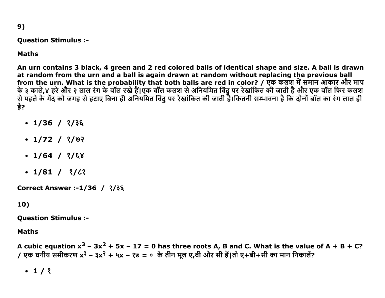9)

#### Question Stimulus :

#### Maths

An urn contains 3 black, 4 green and 2 red colored balls of identical shape and size. A ball is drawn at random from the urn and a ball is again drawn at random without replacing the previous ball from the urn. What is the probability that both balls are red in color? / एक कलश में समान आकार और माप के ३ काले,४ हरे और २ लाल रंग के बाल रखे है|एक बाल कलश से अनियमित बिंदु पर रेखांकित की जाती है और एक बाल फिर कलश से पहले के गेंद को जगह से हटाए बिना ही अनियमित बिंदु पर रेखांकित की जाती है।कितनी सम्भावना है कि दोनों बॉल का रंग लाल ही है?

- $\cdot$  1/36 /  $\frac{2}{3}$
- $\cdot$  1/72 /  $\frac{2}{9}$
- $\cdot$  1/64 /  $\frac{2}{5}$
- $\cdot$  1/81 / ?/ $\ell$ ?

Correct Answer :-1/36 / १/३६

#### 10)

Question Stimulus :

#### Maths

A cubic equation  $x^3 - 3x^2 + 5x - 17 = 0$  has three roots A, B and C. What is the value of A + B + C? / एक घनीय समीकरण x<sup>३</sup> – ३x<sup>२</sup> + ५x – १७ = ० के तीन मूल ए,बी और सी हैं।तो ए+बी+सी का मान निकालें?

 $-1/3$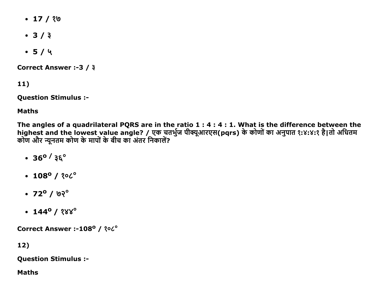- $\cdot$  17 / १७
- $3/3$
- $-5/4$

Correct Answer :-3 / 3

 $11)$ 

**Question Stimulus :-**

**Maths** 

The angles of a quadrilateral PQRS are in the ratio  $1:4:4:1$ . What is the difference between the highest and the lowest value angle? / एक चतर्भुज पीक्यूआरएस(pqrs) के कोणों का अनुपात १:४:४:१ है।तो अधितम<br>कोण और न्यूनतम कोण के मापों के बीच का अंतर निकालें?

- $\cdot$  36<sup>o</sup> / 36<sup>o</sup>
- $\cdot$  108<sup>0</sup> / ? $\circ$
- $\cdot$  72<sup>o</sup> / 0?<sup>o</sup>
- $\cdot$  144<sup>o</sup> / १४४<sup>o</sup>

Correct Answer :-108° / ?06°

 $12)$ 

**Question Stimulus :-**

**Maths**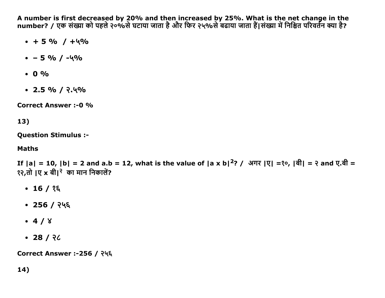A number is first decreased by 20% and then increased by 25%. What is the net change in the number? / एक संख्या को पहले २०%से घटाया जाता है और फिर २५%से बढाया जाता हैं।संख्या में निश्चित परिवर्तन क्या है?

- $+5% / +4%$
- $\cdot$  5 % / -4%
- $0.0\%$
- $\cdot$  2.5 % / २.५%

**Correct Answer :- 0 %** 

13)

**Question Stimulus :-**

#### **Maths**

If  $|a| = 10$ ,  $|b| = 2$  and a.b = 12, what is the value of  $|a \times b|^2$ ? / अगर  $|\nabla| = \infty$ ,  $|\nabla| = \infty$  and  $\nabla \cdot \nabla |b| = 2$ १२,तो ।ए x बी।<sup>२</sup> का मान निकालें?

- $\cdot$  16 / १६
- $\cdot$  256 / २५६
- $-4/8$
- $-28/26$

Correct Answer :-256 / २५६

 $14)$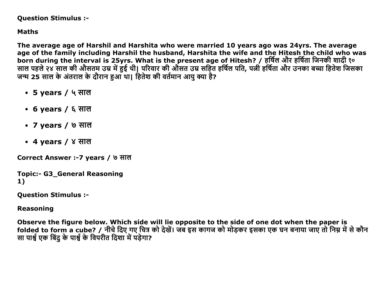**Question Stimulus :-**

**Maths** 

The average age of Harshil and Harshita who were married 10 years ago was 24yrs. The average age of the family including Harshil the husband, Harshita the wife and the Hitesh the child who was born during the interval is 25yrs. What is the present age of Hitesh? / हर्षिल और हर्षिता जिनकी शादी १० साल पहले २४ साल की औसतम उम्र में हुई थी। परिवार की औसत उम्र सहित हर्षिल पति, पत्नी हर्षिता और उनका बच्चा हितेश जिसका जन्म 25 साल के अंतराल के दौरान हुआ था। हितेश की वर्तमान आयु क्या है?

- 5 years / ५ साल
- 6 years / ६ साल
- 7 years / ७ साल
- 4 years / ४ साल

Correct Answer :-7 years / ७ साल

**Topic:- G3 General Reasoning**  $1)$ 

**Ouestion Stimulus :-**

**Reasoning** 

Observe the figure below. Which side will lie opposite to the side of one dot when the paper is folded to form a cube? / नीचे दिए गए चित्र को देखें। जब इस कागज को मोडकर इसका एक घन बनाया जाए तो निम्न में से कौन सा पार्श्व एक बिंदु के पार्श्व के विपरीत दिशा में पड़ेगा?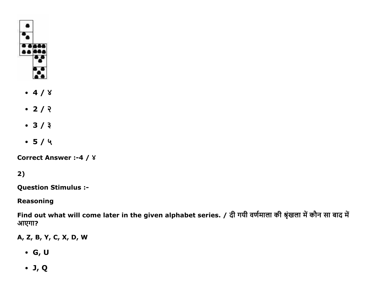

- $-4/8$
- $2/7$
- $3/3$
- $-5/4$

**Correct Answer :- 4 / 8** 

### $2)$

**Question Stimulus :-**

#### **Reasoning**

Find out what will come later in the given alphabet series. / दी गयी वर्णमाला की श्रृंखला में कौन सा बाद में आएगा?

A, Z, B, Y, C, X, D, W

- $\bullet$  G, U
- $\bullet$  J, Q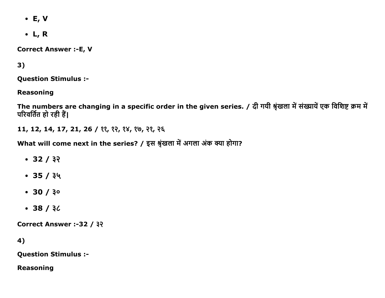- $\bullet$  E, V
- $\bullet$  L, R

**Correct Answer :- E, V** 

### $3)$

**Question Stimulus :-**

**Reasoning** 

The numbers are changing in a specific order in the given series. / दी गयी श्रृंखला में संख्यायें एक विशिष्ट क्रम में परिवर्तित हो रही हैं।

11, 12, 14, 17, 21, 26 / ११, १२, १४, १७, २१, २६

What will come next in the series? / इस श्रृंखला में अगला अंक क्या होगा?

- $-32/32$
- $-35/34$
- $30 / 30$
- $-38/30$

Correct Answer :-32 / ३२

4)

**Question Stimulus :-**

**Reasoning**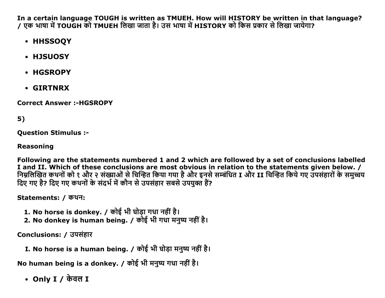In a certain language TOUGH is written as TMUEH. How will HISTORY be written in that language? / एक भाषा में TOUGH को TMUEH लिखा जाता है। उस भाषा में HISTORY को किस प्रकार से लिखा जायेगा?

- HHSSOQY
- HJSUOSY
- HGSROPY
- **GIRTNRX**

**Correct Answer :- HGSROPY** 

### $5)$

**Question Stimulus :-**

#### **Reasoning**

Following are the statements numbered 1 and 2 which are followed by a set of conclusions labelled I and II. Which of these conclusions are most obvious in relation to the statements given below. / निम्नलिखित कथनों को १ और २ संख्याओं से चिन्हित किया गया है और इनसे सम्बंधित I और II चिन्हित किये गए उपसंहारों के समुच्चय दिए गए है? दिए गए कथनों के संदर्भ में कौन से उपसंहार सबसे उपयक्त हैं?

Statements: / कथन:

- 1. No horse is donkey. / कोई भी घोड़ा गधा नहीं है।
- 2. No donkey is human being. / कोई भी गधा मनुष्य नहीं है।

Conclusions: / उपसंहार

I. No horse is a human being. / कोई भी घोड़ा मनुष्य नहीं है।

No human being is a donkey. / कोई भी मनुष्य गधा नहीं है।

• Only I  $\prime$  केवल I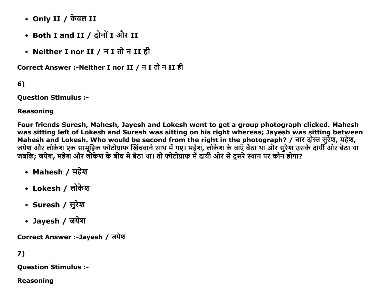- Only II / केवल II
- Both I and II / दोनों I और II
- Neither I nor II / न I तो न II ही

Correct Answer :- Neither I nor II / न I तो न II ही

 $6)$ 

**Question Stimulus :-**

#### **Reasoning**

Four friends Suresh, Mahesh, Jayesh and Lokesh went to get a group photograph clicked. Mahesh was sitting left of Lokesh and Suresh was sitting on his right whereas; Jayesh was sitting between Mahesh and Lokesh. Who would be second from the right in the photograph? / चार दोस्त सुर्रेश, महेश,<br>जयेश और लोकेश एक सामूहिक फोटोग्राफ खिंचवाने साथ में गए। महेश, लोकेश के बाएँ बैठा था और सुरेश उसके दायीं ओर बैठा था जबकि; जयेश, महेश और लोकेश के बीच में बैठा था। तो फोटोग्राफ में दायीं ओर से दूसरे स्थान पर कौन होगा?

- Mahesh / महेश
- Lokesh / लोकेश
- Suresh / सुरेश
- Jayesh / जयेश

Correct Answer :-Jayesh / जयेश

### 7)

**Question Stimulus :-**

#### **Reasoning**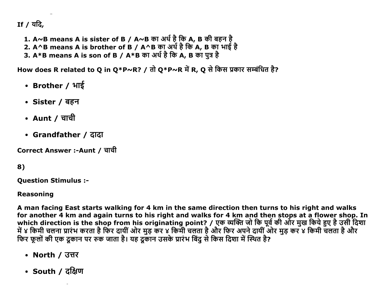If / यदि,

- 1. A~B means A is sister of B / A~B का अर्थ है कि A, B की बहन है
- 2. A^B means A is brother of B / A^B का अर्थ है कि A, B का भाई है<br>3. A\*B means A is son of B / A^B का अर्थ है कि A, B का भाई है
- 

How does R related to Q in Q\*P~R? / तो Q\*P~R में R, Q से किस प्रकार सम्बंधित है?

- Brother / भाई
- Sister / बहन
- Aunt / चाची
- Grandfather / दादा

Correct Answer :-Aunt / चाची

### 8)

**Question Stimulus :-**

#### **Reasoning**

A man facing East starts walking for 4 km in the same direction then turns to his right and walks for another 4 km and again turns to his right and walks for 4 km and then stops at a flower shop. In which direction is the shop from his originating point? / एक व्यक्ति जो कि पूर्व की ओर मुख किये हुए है उसी दिशा<br>में ४ किमी चलना प्रारंभ करता है फिर दायीं ओर मुड़ कर ४ किमी चलता है और फिर अपने दायीं ओर मुड़ कर ४ किमी चलता

- North / उत्तर
- South / दक्षिण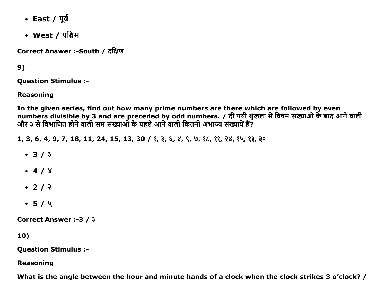- East / पूर्व
- West / पश्चिम

Correct Answer :-South / दक्षिण

 $9)$ 

**Question Stimulus :-**

**Reasoning** 

In the given series, find out how many prime numbers are there which are followed by even numbers divisible by 3 and are preceded by odd numbers. / दी गयी श्रृंखला में विषम संख्याओं के बाद आने वाली<br>और ३ से विभाजित होने वाली सम संख्याओं के पहले आने वाली कितनी अभाज्य संख्यायें हैं?

1, 3, 6, 4, 9, 7, 18, 11, 24, 15, 13, 30 / ?, 3,  $\xi$ ,  $\chi$ ,  $\zeta$ ,  $\zeta$ ,  $\zeta$ ,  $\zeta$ ,  $\zeta$ ,  $\zeta$ ,  $\zeta$ ,  $\zeta$ ,  $\zeta$ ,  $\zeta$ ,  $\zeta$ ,  $\zeta$ ,  $\zeta$ ,  $\zeta$ ,  $\zeta$ ,  $\zeta$ ,  $\zeta$ ,  $\zeta$ ,  $\zeta$ ,  $\zeta$ ,  $\zeta$ ,  $\zeta$ ,  $\zeta$ ,

- $3/3$
- $-4/8$
- $2/2$
- $-5/4$

Correct Answer :-3 / 3

10)

**Question Stimulus :-**

**Reasoning** 

What is the angle between the hour and minute hands of a clock when the clock strikes 3 o'clock? /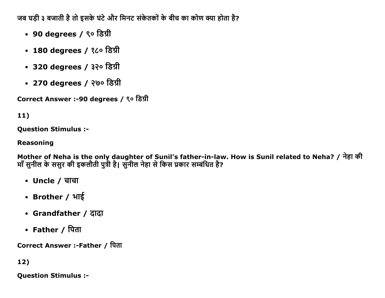जब घड़ी ३ बजाती है तो इसके घंटे और मिनट संकेतकों के बीच का कोण क्या होता है?

- 90 degrees / ९० डिग्री
- 180 degrees / १८० डिग्री
- $\cdot$  320 degrees / ३२० डिग्री
- 270 degrees / २७० डिग्री

Correct Answer :-90 degrees / ९० डिग्री

## 11)

Question Stimulus :

### Reasoning

Mother of Neha is the only daughter of Sunil's father-in-law. How is Sunil related to Neha? / नेहा की माँ सुनील के ससुर की इकलौती पुत्री है। सुनील नेहा से किस प्रकार सम्बंधित है?

- Uncle / चाचा
- Brother /  $4\frac{1}{3}$
- Grandfather / ĉĭĉĭ
- Father / पिता

Correct Answer :-Father / पिता

12)

Question Stimulus :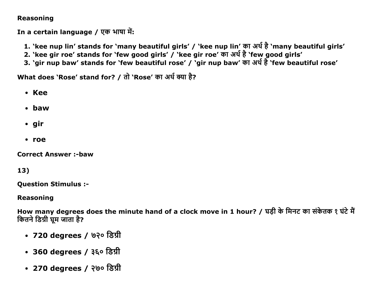### **Reasoning**

In a certain language / एक भाषा में:

- 1. `kee nup lin' stands for `many beautiful girls' / `kee nup lin' का अर्थ है `many beautiful girls'
- 2. 'kee gir roe' stands for 'few good girls' / 'kee gir roe' का अर्थ है 'few good girls'
- 3. 'gir nup baw' stands for 'few beautiful rose' / 'gir nup baw' का अर्थ है 'few beautiful rose'

What does 'Rose' stand for? / तो 'Rose' का अर्थ क्या है?

- Kee
- $\cdot$  baw
- $\cdot$  gir
- roe

**Correct Answer :- baw** 

### 13)

**Question Stimulus :-**

**Reasoning** 

How many degrees does the minute hand of a clock move in 1 hour? / घड़ी के मिनट का संकेतक १ घंटे मैं कितने डिग्री घूम जाता है?

- 720 degrees / ७२० डिग्री
- 360 degrees / ३६० डिग्री
- 270 degrees / २७० डिग्री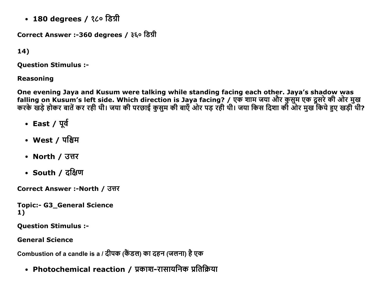• 180 degrees / १८० डिग्री

Correct Answer :-360 degrees / ३६० डिग्री

```
14)
```
**Question Stimulus :-**

### **Reasoning**

One evening Jaya and Kusum were talking while standing facing each other. Jaya's shadow was<br>falling on Kusum's left side. Which direction is Jaya facing? / एक शाम जया और कुसुम एक दूसरे की ओर मुख<br>करके खड़े होकर बातें कर रह

- East / पूर्व
- West / पश्चिम
- North / उत्तर
- South / दक्षिण

Correct Answer :-North / उत्तर

**Topic:- G3 General Science**  $1)$ 

**Question Stimulus :-**

**General Science** 

Combustion of a candle is a / दीपक (केंडल) का दहन (जलना) है एक

• Photochemical reaction / प्रकाश-रासायनिक प्रतिक्रिया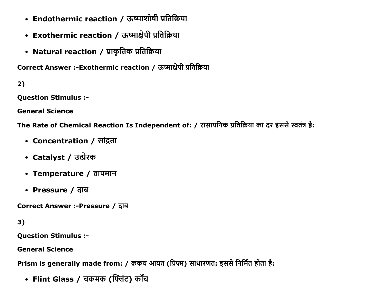- Endothermic reaction / ऊष्माशोषी प्रतिक्रिया
- Exothermic reaction / ऊष्माक्षेपी प्रतिक्रिया
- Natural reaction / प्राकृतिक प्रतिक्रिया

Correct Answer :-Exothermic reaction / ऊष्माक्षेपी प्रतिक्रिया

 $2)$ 

**Question Stimulus :-**

**General Science** 

The Rate of Chemical Reaction Is Independent of: / रासायनिक प्रतिक्रिया का दर इससे स्वतंत्र है:

- Concentration / सांद्रता
- Catalyst / उत्प्रेरक
- Temperature / तापमान
- Pressure / दाब

Correct Answer :-Pressure / दाब

 $3)$ 

**Question Stimulus :-**

**General Science** 

Prism is generally made from: / क्रकच आयत (प्रिज़्म) साधारणत: इससे निर्मित होता है:

• Flint Glass / चकमक (फ्लिंट) काँच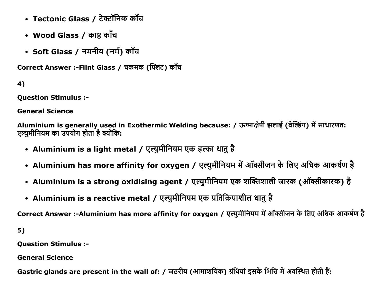- Tectonic Glass / टेक्टॉनिक काँच
- Wood Glass / काष्ठ काँच
- Soft Glass / नमनीय (नर्म) काँच

Correct Answer :-Flint Glass / चकमक (फ्लिंट) काँच

4)

**Question Stimulus :-**

**General Science** 

Aluminium is generally used in Exothermic Welding because: / ऊष्माक्षेपी झलाई (वेल्डिंग) में साधारणत: एल्युमीनियम का उपयोग होता है क्योंकि:

- Aluminium is a light metal / एल्युमीनियम एक हल्का धातु है
- Aluminium has more affinity for oxygen / एल्युमीनियम में ऑक्सीजन के लिए अधिक आकर्षण है
- Aluminium is a strong oxidising agent / एल्युमीनियम एक शक्तिशाली जारक (ऑक्सीकारक) है
- Aluminium is a reactive metal / एल्युमीनियम एक प्रतिक्रियाशील धातु है

Correct Answer :-Aluminium has more affinity for oxygen / एल्युमीनियम में ऑक्सीजन के लिए अधिक आकर्षण है

 $5)$ 

**Question Stimulus :-**

**General Science** 

Gastric glands are present in the wall of: / जठरीय (आमाशयिक) ग्रंथियां इसके भित्ति में अवस्थित होती हैं: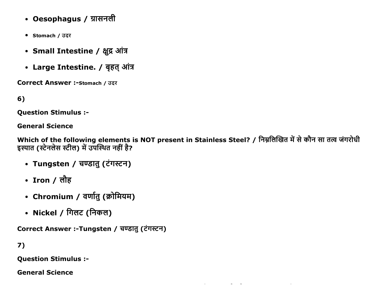- Oesophagus / ग्रासनली
- Stomach / उदर
- Small Intestine / क्षूद्र आंत्र
- Large Intestine. / बृहत् आंत्र

**Correct Answer :- Stomach / उदर** 

6)

**Question Stimulus :-**

**General Science** 

Which of the following elements is NOT present in Stainless Steel? / निम्नलिखित में से कौन सा तत्व जंगरोधी इस्पात (स्टेनलेस स्टील) में उपस्थित नहीं है?

- Tungsten / चण्डातु (टंगस्टन)
- Iron / लौह
- Chromium / वर्णातु (क्रोमियम)
- Nickel / गिलट (निकल)

Correct Answer :-Tungsten / चण्डात् (टंगस्टन)

 $7)$ 

**Question Stimulus :-**

**General Science**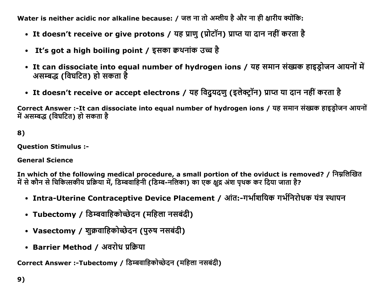Water is neither acidic nor alkaline because: / जल ना तो अम्लीय है और ना ही क्षारीय क्योंकि:

- It doesn't receive or give protons / यह प्राणु (प्रोटॉन) प्राप्त या दान नहीं करता है
- It's got a high boiling point / इसका क्वथनांक उच्च है
- It can dissociate into equal number of hydrogen ions / यह समान संख्यक हाइड़ोजन आयनों में असम्बद्ध (विघटित) हो सकता है
- It doesn't receive or accept electrons / यह विदुयदणु (इलेक्ट्रॉन) प्राप्त या दान नहीं करता है

Correct Answer :- It can dissociate into equal number of hydrogen ions / यह समान संख्यक हाइडोजन आयनों में असम्बद्ध (विघटित) हो सकता है

8)

**Question Stimulus :-**

**General Science** 

In which of the following medical procedure, a small portion of the oviduct is removed? / निम्नलिखित में से कौन से चिकित्सकीय प्रक्रिया में, डिम्बवाहिनी (डिम्ब-नलिका) का एक क्षूद्र अंश पृथक कर दिया जाता है?

- Intra-Uterine Contraceptive Device Placement / आंत:-गर्भाशयिक गर्भनिरोधक यंत्र स्थापन
- Tubectomy / डिम्बवाहिकोच्छेदन (महिला नसबंदी)
- Vasectomy / शुक्रवाहिकोच्छेदन (पुरुष नसबंदी)
- Barrier Method / अवरोध प्रक्रिया

Correct Answer :-Tubectomy / डिम्बवाहिकोच्छेदन (महिला नसबंदी)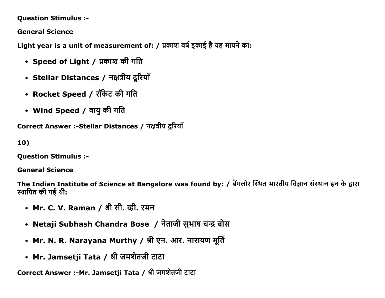**Question Stimulus :-**

**General Science** 

Light year is a unit of measurement of: / प्रकाश वर्ष इकाई है यह मापने का:

- Speed of Light / प्रकाश की गति
- Stellar Distances / नक्षत्रीय दूरियाँ
- Rocket Speed / रॉकेट की गति
- Wind Speed / वायु की गति

Correct Answer :-Stellar Distances / नक्षत्रीय दूरियाँ

10)

**Question Stimulus :-**

**General Science** 

The Indian Institute of Science at Bangalore was found by: / बैंगलोर स्थित भारतीय विज्ञान संस्थान इन के द्वारा स्थापित की गई थी:

- Mr. C. V. Raman / श्री सी. व्ही. रमन
- Netaji Subhash Chandra Bose / नेताजी सुभाष चन्द्र बोस
- Mr. N. R. Narayana Murthy / श्री एन. आर. नारायण मूर्ति
- Mr. Jamsetji Tata / श्री जमशेतजी टाटा

Correct Answer :- Mr. Jamsetji Tata / श्री जमशेतजी टाटा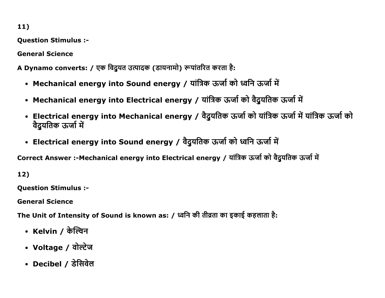11)

Question Stimulus :

General Science

A Dynamo converts: / एक विदुयत उत्पादक (डायनामो) रूपांतरित करता है:

- Mechanical energy into Sound energy / यांत्रिक ऊर्जा को ध्वनि ऊर्जा में
- Mechanical energy into Electrical energy / यांत्रिक ऊर्जा को वैदुयतिक ऊर्जा में
- Electrical energy into Mechanical energy / वैदुयतिक ऊर्जा को यांत्रिक ऊर्जा में यांत्रिक ऊर्जा को वैदुयतिक ऊर्जा में
- Electrical energy into Sound energy / वैदुयतिक ऊर्जा को ध्वनि ऊर्जा में

Correct Answer :-Mechanical energy into Electrical energy / यांत्रिक ऊर्जा को वैदुयतिक ऊर्जा में

12)

Question Stimulus :

General Science

The Unit of Intensity of Sound is known as: / ध्वनि की तीव्रता का इकाई कहलाता है:

- Kelvin / केल्विन
- Voltage / वोल्टेज
- Decibel / डेसिवेल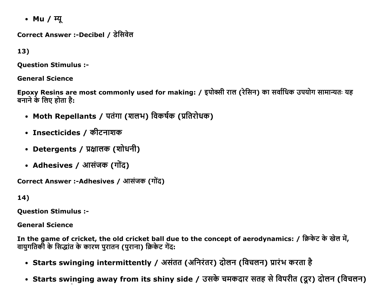• Mu / म्यू

Correct Answer :-Decibel / डेसिवेल

13)

**Ouestion Stimulus :-**

**General Science** 

Epoxy Resins are most commonly used for making: / इपोक्सी राल (रेसिन) का सर्वाधिक उपयोग सामान्यतः यह बनाने के लिए होता है:

- Moth Repellants / पतंगा (शलभ) विकर्षक (प्रतिरोधक)
- Insecticides / कीटनाशक
- Detergents / प्रक्षालक (शोधनी)
- Adhesives / आसंजक (गोंद)

Correct Answer :-Adhesives / आसंजक (गोंद)

14)

**Question Stimulus :-**

**General Science** 

In the game of cricket, the old cricket ball due to the concept of aerodynamics: / क्रिकेट के खेल में, वायुगतिकी के सिद्धांत के कारण पुरातन (पुराना) क्रिकेट गेंद:

- Starts swinging intermittently / असंतत (अनिरंतर) दोलन (विचलन) प्रारंभ करता है
- Starts swinging away from its shiny side / उसके चमकदार सतह से विपरीत (दूर) दोलन (विचलन)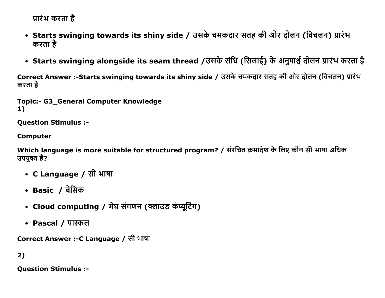प्रारंभ करता है

- Starts swinging towards its shiny side / उसके चमकदार सतह की ओर दोलन (विचलन) प्रारंभ करता है
- Starts swinging alongside its seam thread /उसके संधि (सिलाई) के अनुपार्श्व दोलन प्रारंभ करता है

Correct Answer :-Starts swinging towards its shiny side / उसके चमकदार सतह की ओर दोलन (विचलन) प्रारंभ करता है

Topic:- G3 General Computer Knowledge 1)

Question Stimulus :

Computer

Which language is more suitable for structured program? / संरचित क्रमादेश के लिए कौन सी भाषा अधिक उपयुक्त है?

- C Language / सी भाषा
- Basic / बेसिक
- Cloud computing / मेघ संगणन (क्लाउड कंप्यूटिंग)
- Pascal / पास्कल

Correct Answer :-C Language / सी भाषा

2)

Question Stimulus :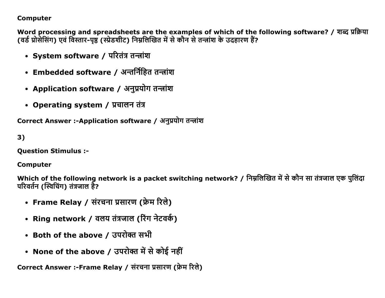### **Computer**

Word processing and spreadsheets are the examples of which of the following software? / शब्द प्रक्रिया (वर्ड प्रोसेसिंग) एवं विस्तार-पृष्ठ (स्प्रेडशीट) निम्नलिखित में से कौन से तन्त्रांश के उदहारण हैं?

- System software / परितंत्र तन्त्रांश
- Embedded software / अन्तर्निहित तन्त्रांश
- Application software / अनुप्रयोग तन्त्रांश
- Operating system / प्रचालन तंत्र

Correct Answer :-Application software / अनुप्रयोग तन्त्रांश

 $3)$ 

**Ouestion Stimulus :-**

### **Computer**

Which of the following network is a packet switching network? / निम्नलिखित में से कौन सा तंत्रजाल एक पुलिंदा परिवर्तन (स्विचिंग) तंत्रजाल है?

- Frame Relay / संरचना प्रसारण (फ्रेम रिले)
- Ring network / वलय तंत्रजाल (रिंग नेटवर्क)
- Both of the above / उपरोक्त सभी
- None of the above / उपरोक्त में से कोई नहीं

Correct Answer :-Frame Relay / संरचना प्रसारण (फ्रेम रिले)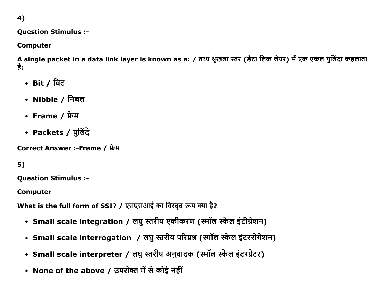4)

### **Question Stimulus :-**

**Computer** 

A single packet in a data link layer is known as a: / तथ्य श्रृंखला स्तर (डेटा लिंक लेयर) में एक एकल पुलिंदा कहलाता है:

- Bit / बिट
- Nibble / निबल
- Frame / फ्रेम
- Packets / पुलिंदे

Correct Answer :-Frame / फ्रेम

## $5)$

**Question Stimulus :-**

**Computer** 

What is the full form of SSI? / एसएसआई का विस्तृत रूप क्या है?

- Small scale integration / लघु स्तरीय एकीकरण (स्मॉल स्केल इंटीग्रेशन)
- Small scale interrogation / लघु स्तरीय परिप्रश्न (स्मॉल स्केल इंटररोगेशन)
- Small scale interpreter / लघु स्तरीय अनुवादक (स्मॉल स्केल इंटरप्रेटर)
- None of the above / उपरोक्त में से कोई नहीं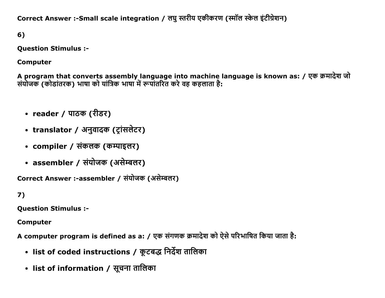Correct Answer :-Small scale integration / लघु स्तरीय एकीकरण (स्मॉल स्केल इंटीग्रेशन)

6)

**Question Stimulus :-**

**Computer** 

A program that converts assembly language into machine language is known as: / एक क्रमादेश जो संयोजक (कोडांतरक) भाषा को यांत्रिक भाषा में रूपांतरित करे वह कहलाता है:

- reader / पाठक (रीडर)
- translator / अनुवादक (ट्रांसलेटर)
- compiler / संकलक (कम्पाइलर)
- assembler / संयोजक (असेम्बलर)

Correct Answer :-assembler / संयोजक (असेम्बलर)

 $7)$ 

**Question Stimulus :-**

**Computer** 

A computer program is defined as a: / एक संगणक क्रमादेश को ऐसे परिभाषित किया जाता है:

- list of coded instructions / कूटबद्ध निर्देश तालिका
- list of information / सूचना तालिका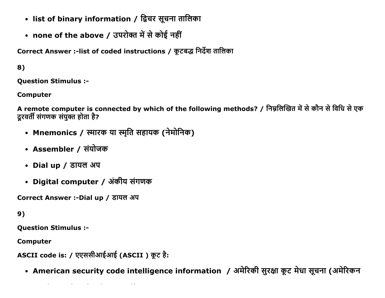- list of binary information / द्विचर सूचना तालिका
- none of the above / उपरोक्त में से कोई नहीं

Correct Answer :-list of coded instructions / कूटबद्ध निर्देश तालिका

 $8)$ 

**Ouestion Stimulus :-**

**Computer** 

A remote computer is connected by which of the following methods? / निम्नलिखित में से कौन से विधि से एक दूरवर्ती संगणक संयुक्त होता है?

- Mnemonics / स्मारक या स्मृति सहायक (नेमोनिक)
- Assembler / संयोजक
- Dial up / डायल अप
- Digital computer / अंकीय संगणक

Correct Answer :-Dial up / डायल अप

9)

**Question Stimulus :-**

**Computer** 

ASCII code is: / एएससीआईआई (ASCII) कूट है:

• American security code intelligence information / अमेरिकी सुरक्षा कूट मेधा सूचना (अमेरिकन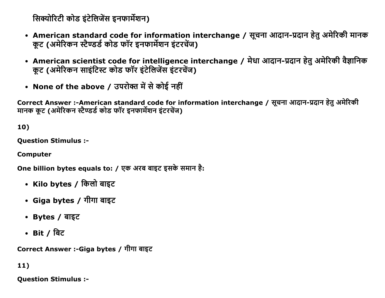सिक्योरिटी कोड इंटेलिजेंस इनफार्मेशन)

- American standard code for information interchange / सूचना आदान-प्रदान हेतु अमेरिकी मानक कुट (अमेरिकन स्टैण्डर्ड कोड फॉर इनफार्मेशन इंटरचेंज)
- American scientist code for intelligence interchange / मेधा आदान-प्रदान हेतु अमेरिकी वैज्ञानिक कूट (अमेरिकन साइंटिस्ट कोड फॉर इंटेलिजेंस इंटरचेंज)
- None of the above / उपरोक्त में से कोई नहीं

Correct Answer :-American standard code for information interchange / सूचना आदान-प्रदान हेतु अमेरिकी मानक कट (अमेरिकन स्टैण्डर्ड कोड फॉर इनफार्मेशन इंटरचेंज)

10)

Question Stimulus :

Computer

One billion bytes equals to: / एक अरब बाइट इसके समान है:

- Kilo bytes / किलो बाइट
- Giga bytes / गीगा बाइट
- $\cdot$  Bytes / बाइट
- Bit */* बिट

Correct Answer :-Giga bytes / गीगा बाइट

11)

Question Stimulus :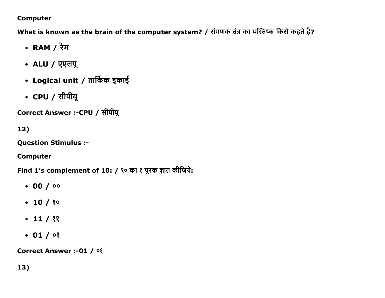### **Computer**

What is known as the brain of the computer system? / संगणक तंत्र का मस्तिष्क किसे कहते है?

- RAM / रैम
- ALU / एएलयू
- Logical unit / तार्किक इकाई
- CPU / सीपीयू

Correct Answer :-CPU / सीपीयू

# 12)

**Question Stimulus :-**

**Computer** 

Find 1's complement of 10: / १० का १ पूरक ज्ञात कीजिये:

- $.00/00$
- $\cdot$  10 / ? $\circ$
- $\cdot$  11 / ??
- $\cdot$  01/ $\circ$

Correct Answer :- 01 / 03

 $13)$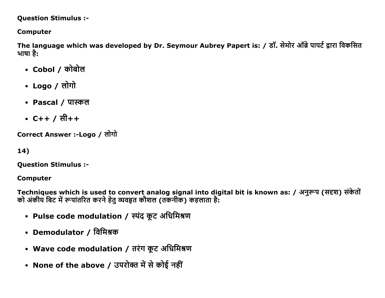### **Question Stimulus :-**

## **Computer**

The language which was developed by Dr. Seymour Aubrey Papert is: / डॉ. सेमोर ऑब्रे पापर्ट द्वारा विकसित भाषा है:

- Cobol / कोबोल
- Logo / लोगो
- Pascal / पास्कल
- $C++ / \sqrt{t} + +$

Correct Answer :-Logo / लोगो

14)

**Question Stimulus :-**

**Computer** 

Techniques which is used to convert analog signal into digital bit is known as: / अनुरूप (सदृश) संकेतों को अंकीय बिट में रूपांतरित करने हेतु व्यवहृत कौशल (तकनीक) कहलाता है:

- Pulse code modulation / स्पंद कूट अधिमिश्रण
- Demodulator / विमिश्रक
- Wave code modulation / तरंग कूट अधिमिश्रण
- None of the above / उपरोक्त में से कोई नहीं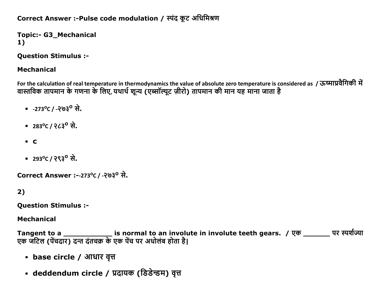## Correct Answer :-Pulse code modulation / स्पंद कूट अधिमिश्रण

**Topic:- G3\_Mechanical** 1)

**Ouestion Stimulus :-**

### **Mechanical**

For the calculation of real temperature in thermodynamics the value of absolute zero temperature is considered as / ऊष्माप्रवैगिकी में वास्तविक तापमान के गणना के लिए, यथार्थ शून्य (एब्सॉल्यूट ज़ीरो) तापमान की मान यह माना जाता है

- $-273^{\circ}C/ -203^{\circ}R$ .
- 283<sup>o</sup>C/  $263^{\circ}$  से.
- $\bullet$   $\bullet$
- 293°C / २९३<sup>0</sup> से.

Correct Answer :--273°C / -२७३° से.

 $2)$ 

**Question Stimulus :-**

**Mechanical** 

Tangent to a \_\_\_\_\_\_\_\_\_\_\_\_\_\_\_\_ is normal to an involute in involute teeth gears. / एक \_\_\_\_\_\_\_\_ पर स्पर्शज्या<br>एक जटिल (पेंचदार) दन्त दंतचक्र के एक पेंच पर अधोलंब होता है।

- base circle / आधार वृत्त
- deddendum circle / प्रदायक (डिडेन्डम) वृत्त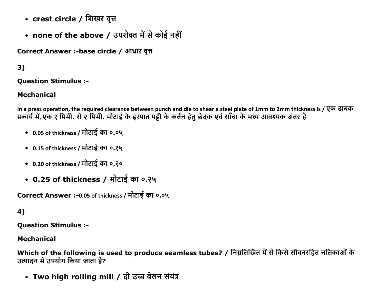- crest circle / शिखर वृत्त
- none of the above / उपरोक्त में से कोई नहीं

Correct Answer :-base circle / आधार वृत्त

## $3)$

**Ouestion Stimulus :-**

### **Mechanical**

In a press operation, the required clearance between punch and die to shear a steel plate of 1mm to 2mm thickness is / एक दाबक प्रकार्य में, एक १ मिमी. से २ मिमी. मोटाई के इस्पात पट्टी के कर्तन हेतु छेदक एवं साँचा के मध्य आवश्यक अंतर है

- 0.05 of thickness / मोटाई का ०.०५
- 0.15 of thickness / मोटाई का ०.१५
- 0.20 of thickness / मोटाई का ०.२०
- 0.25 of thickness / मोटाई का ०.२५

Correct Answer :- 0.05 of thickness / मोटाई का ०.०५

## 4)

**Question Stimulus :-**

### **Mechanical**

Which of the following is used to produce seamless tubes? / निम्नलिखित में से किसे सीवनरहित नलिकाओं के उत्पादन में उपयोग किया जाता है?

• Two high rolling mill / दो उच्च बेलन संयंत्र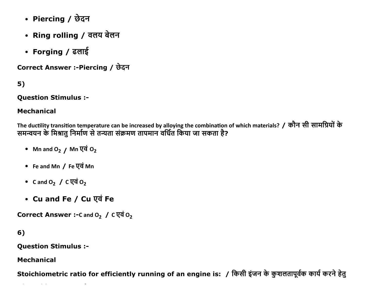- Piercing / छेदन
- Ring rolling / वलय बेलन
- Forging / ढलाई

Correct Answer :-Piercing / छेदन

 $5)$ 

**Question Stimulus :-**

### **Mechanical**

The ductility transition temperature can be increased by alloying the combination of which materials? / कौन सी सामग्रियों के समन्वयन के मिश्रातु निर्माण से तन्यता संक्रमण तापमान वर्धित किया जा सकता है?

- Mn and  $O_2$  / Mn  $\nabla \vec{q}$   $O_2$
- Fe and Mn / Fe एवं Mn
- Cand  $O_2$  / C  $\overline{Q}$   $\overline{q}$   $O_2$
- Cu and Fe / Cu एवं Fe

Correct Answer :-C and  $O<sub>2</sub>$  / C एवं  $O<sub>2</sub>$ 

6)

**Ouestion Stimulus :-**

**Mechanical** 

Stoichiometric ratio for efficiently running of an engine is: / किसी इंजन के कुशलतापूर्वक कार्य करने हेतु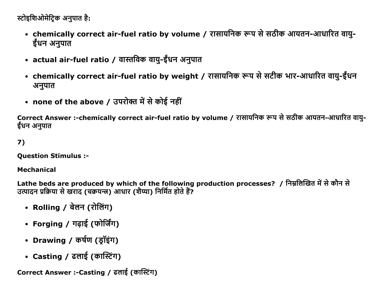```
स्टोइशिओमेटिक अनपात है:
```
- chemically correct air-fuel ratio by volume / रासायनिक रूप से सठीक आयतन-आधारित वायु-ईंधन अनुपात
- actual air-fuel ratio / वास्तविक वायु-ईंधन अनुपात
- chemically correct air-fuel ratio by weight / रासायनिक रूप से सटीक भार-आधारित वायु-ईंधन अनुपात
- none of the above / उपरोक्त में से कोई नहीं

Correct Answer :-chemically correct air-fuel ratio by volume / रासायनिक रूप से सठीक आयतन-आधारित वायु-ईंधन अनुपात

## $7)$

**Question Stimulus :-**

#### **Mechanical**

Lathe beds are produced by which of the following production processes? / निम्नलिखित में से कौन से उत्पादन प्रक्रिया से खराद (चक्रयन्त्र) आधार (शैय्या) निर्मित होते हैं?

- Rolling / बेलन (रोलिंग)
- Forging / गढ़ाई (फोर्जिंग)
- Drawing / कर्षण (डॉइंग)
- Casting / ढलाई (कास्टिंग)

Correct Answer :- Casting / ढलाई (कास्टिंग)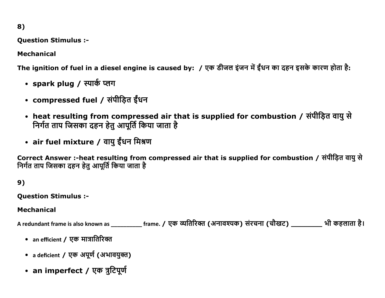**Question Stimulus :-**

**Mechanical** 

The ignition of fuel in a diesel engine is caused by: / एक डीजल इंजन में ईंधन का दहन इसके कारण होता है:

- spark plug / स्पार्क प्लग
- compressed fuel / संपीड़ित ईंधन
- heat resulting from compressed air that is supplied for combustion / संपीड़ित वायु से निर्गत ताप जिसका दहन हेतु आपूर्ति किया जाता है
- air fuel mixture / वायु ईंधन मिश्रण

Correct Answer :-heat resulting from compressed air that is supplied for combustion / संपीड़ित वायु से निर्गत ताप जिसका दहन हेतु आपूर्ति किया जाता है

 $9)$ 

**Question Stimulus :-**

### **Mechanical**

A redundant frame is also known as \_\_\_\_\_\_\_\_\_\_\_ frame. / एक व्यतिरिक्त (अनावश्यक) संरचना (चौखट) \_\_\_\_\_\_\_\_\_\_\_ भी कहलाता है।

- an efficient / एक मात्रातिरिक्त
- a deficient / एक अपूर्ण (अभावयुक्त)
- an imperfect / एक त्रुटिपूर्ण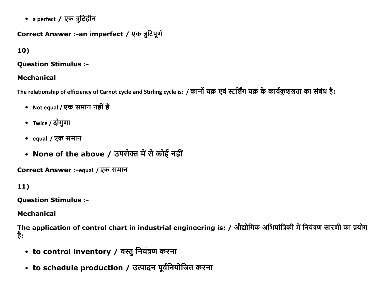• a perfect / एक त्रुटिहीन

## Correct Answer :- an imperfect / एक त्रुटिपूर्ण

## $10)$

### **Question Stimulus :-**

## **Mechanical**

The relationship of efficiency of Carnot cycle and Stirling cycle is: / कार्नो चक्र एवं स्टर्लिंग चक्र के कार्यकुशलता का संबंध है:

- Not equal / एक समान नहीं हैं
- Twice / दोगुणा
- equal / एक समान
- None of the above / उपरोक्त में से कोई नहीं

Correct Answer :-equal / एक समान

## $11)$

**Ouestion Stimulus :-**

**Mechanical** 

The application of control chart in industrial engineering is: / औद्योगिक अभियांत्रिकी में नियंत्रण सारणी का प्रयोग है:

- to control inventory / वस्तु नियंत्रण करना
- to schedule production / उत्पादन पूर्वनियोजित करना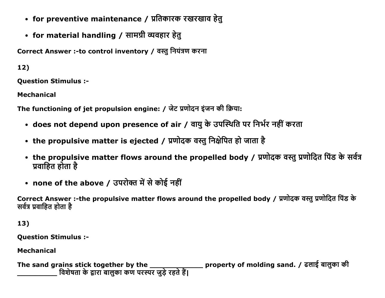- for preventive maintenance / प्रतिकारक रखरखाव हेतु
- for material handling / सामग्री व्यवहार हेतु

Correct Answer :-to control inventory / वस्तु नियंत्रण करना

 $12)$ 

**Ouestion Stimulus :-**

**Mechanical** 

The functioning of jet propulsion engine: / जेट प्रणोदन इंजन की क्रिया:

- does not depend upon presence of air / वायु के उपस्थिति पर निर्भर नहीं करता
- the propulsive matter is ejected / प्रणोदक वस्तु निक्षेपित हो जाता है
- the propulsive matter flows around the propelled body / प्रणोदक वस्तु प्रणोदित पिंड के सर्वत्र प्रवाहित होता है
- none of the above / उपरोक्त में से कोई नहीं

Correct Answer :-the propulsive matter flows around the propelled body / प्रणोदक वस्तु प्रणोदित पिंड के सर्वत्र प्रवाहित होता है

13)

**Question Stimulus :-**

**Mechanical** 

The sand grains stick together by the \_\_\_\_\_\_\_\_\_\_\_\_\_\_\_\_ property of molding sand. / ढलाई बालुका की<br>\_\_\_\_\_\_\_\_\_\_\_\_\_ विशेषता के द्वारा बालुका कण परस्पर जुड़े रहते हैं।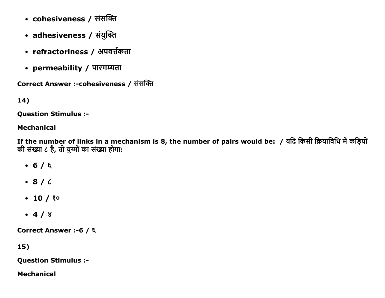- cohesiveness / संसक्ति
- adhesiveness / संयुक्ति
- refractoriness / अपवर्त्तकता
- permeability / पारगम्यता

Correct Answer :-cohesiveness / संसक्ति

## 14)

**Question Stimulus :-**

### **Mechanical**

If the number of links in a mechanism is 8, the number of pairs would be: / यदि किसी क्रियाविधि में कड़ियों की संख्या ८ है, तो युग्मों का संख्या होगा:

- $-6/6$
- $\bullet$  8/6
- $\cdot$  10 / ? $\circ$
- $-4/8$

Correct Answer :- 6 / ६

 $15)$ 

**Question Stimulus :-**

**Mechanical**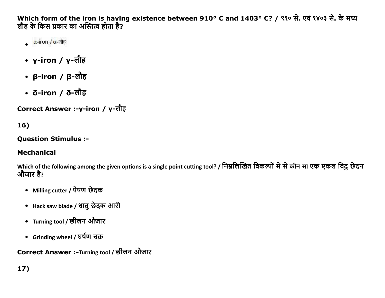Which form of the iron is having existence between 910° C and 1403° C? / ९१० से. एवं १४०३ से. के मध्य लौह के किस प्रकार का अस्तित्व होता है?

- $\alpha$ -iron / α-σπε
- y-iron / y-लौह
- β-iron / β-लौह
- ठ-iron / ठ-लौह

Correct Answer :-γ-iron / γ-लौह

 $16)$ 

## **Question Stimulus :-**

## **Mechanical**

Which of the following among the given options is a single point cutting tool? / निम्नलिखित विकल्पों में से कौन सा एक एकल बिंद छेदन औजार है?

- Milling cutter / पेषण छेदक
- Hack saw blade / धातु छेदक आरी
- Turning tool / छीलन औजार
- Grinding wheel / घर्षण चक्र

Correct Answer :-Turning tool / छीलन औजार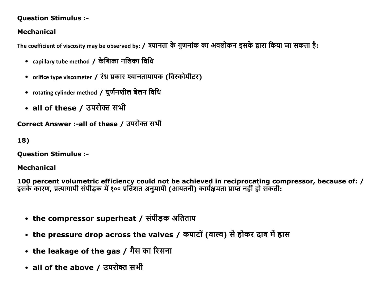### **Question Stimulus :-**

## **Mechanical**

The coefficient of viscosity may be observed by: / श्यानता के गुणनांक का अवलोकन इसके द्वारा किया जा सकता है:

- capillary tube method / केशिका नलिका विधि
- orifice type viscometer / रंध्र प्रकार श्यानतामापक (विस्कोमीटर)
- rotating cylinder method / घुर्णनशील बेलन विधि
- all of these / उपरोक्त सभी

Correct Answer :-all of these / उपरोक्त सभी

18)

**Ouestion Stimulus :-**

### **Mechanical**

100 percent volumetric efficiency could not be achieved in reciprocating compressor, because of: / इसके कारण, प्रत्यागामी संपीड़क में १०० प्रतिशत अनुमापी (आयतनी) कार्यक्षमता प्राप्त नहीं हो सकती:

- the compressor superheat / संपीड़क अतिताप
- the pressure drop across the valves / कपाटों (वाल्व) से होकर दाब में ह्रास
- the leakage of the gas / गैस का रिसना
- all of the above / उपरोक्त सभी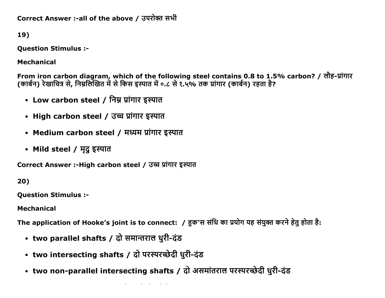Correct Answer :-all of the above / उपरोक्त सभी

19)

**Question Stimulus :-**

**Mechanical** 

From iron carbon diagram, which of the following steel contains 0.8 to 1.5% carbon? / लौह-प्रांगार (कार्बन) रेखाचित्र से, निम्नलिखित में से किस इस्पात में ०.८ से १.५% तक प्रांगार (कार्बन) रहता है?

- Low carbon steel / निम्न प्रांगार इस्पात
- High carbon steel / उच्च प्रांगार इस्पात
- Medium carbon steel / मध्यम प्रांगार इस्पात
- Mild steel / मृदु इस्पात

Correct Answer :-High carbon steel / उच्च प्रांगार इस्पात

20)

**Ouestion Stimulus :-**

**Mechanical** 

The application of Hooke's joint is to connect: / हक'स संधि का प्रयोग यह संयुक्त करने हेतु होता है:

- two parallel shafts / दो समान्तराल धुरी-दंड
- two intersecting shafts / दो परस्परच्छेदी धुरी-दंड
- two non-parallel intersecting shafts / दो असमांतराल परस्परच्छेदी धुरी-दंड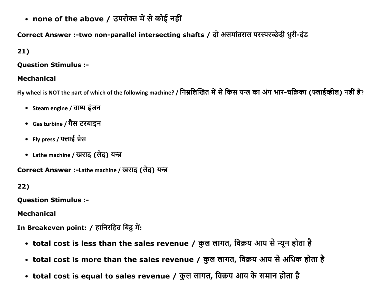• none of the above / उपरोक्त में से कोई नहीं

# Correct Answer :- two non-parallel intersecting shafts / दो असमांतराल परस्परच्छेदी धुरी-दंड

## $21)$

### **Question Stimulus :-**

### **Mechanical**

Fly wheel is NOT the part of which of the following machine? / निम्नलिखित में से किस यन्त्र का अंग भार-चक्रिका (फ्लाईव्हील) नहीं है?

- Steam engine / वाष्प इंजन
- Gas turbine / गैस टरबाइन
- Fly press / फ्लाई प्रेस
- Lathe machine / खराद (लेद) यन्त्र

Correct Answer :-Lathe machine / खराद (लेद) यन्त्र

## 22)

**Ouestion Stimulus :-**

**Mechanical** 

In Breakeven point: / हानिरहित बिंदु में:

- total cost is less than the sales revenue / कुल लागत, विक्रय आय से न्यून होता है
- total cost is more than the sales revenue / कुल लागत, विक्रय आय से अधिक होता है
- total cost is equal to sales revenue / कुल लागत, विक्रय आय के समान होता है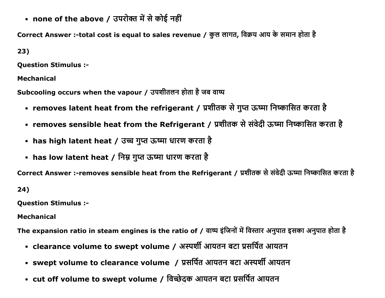• none of the above / उपरोक्त में से कोई नहीं

Correct Answer :-total cost is equal to sales revenue / कुल लागत, विक्रय आय के समान होता है

 $23)$ 

**Question Stimulus :-**

**Mechanical** 

Subcooling occurs when the vapour / उपशीतलन होता है जब वाष्प

- removes latent heat from the refrigerant / प्रशीतक से गुप्त ऊष्मा निष्कासित करता है
- removes sensible heat from the Refrigerant / प्रशीतक से संवेदी ऊष्मा निष्कासित करता है
- has high latent heat / उच्च गुप्त ऊष्मा धारण करता है
- has low latent heat / निम्न गुप्त ऊष्मा धारण करता है

Correct Answer :-removes sensible heat from the Refrigerant / प्रशीतक से संवेदी ऊष्मा निष्कासित करता है

 $24)$ 

**Question Stimulus :-**

**Mechanical** 

The expansion ratio in steam engines is the ratio of / वाष्प इंजिनों में विस्तार अनुपात इसका अनुपात होता है

- clearance volume to swept volume / अस्पर्शी आयतन बटा प्रसर्पित आयतन
- swept volume to clearance volume / प्रसर्पित आयतन बटा अस्पर्शी आयतन
- cut off volume to swept volume / विच्छेदक आयतन बटा प्रसर्पित आयतन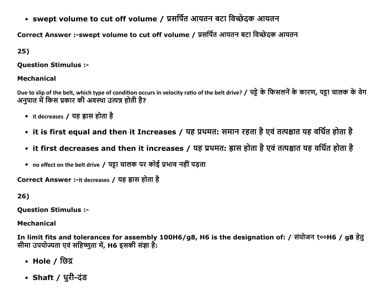• swept volume to cut off volume / प्रसर्पित आयतन बटा विच्छेदक आयतन

Correct Answer :-swept volume to cut off volume / प्रसर्पित आयतन बटा विच्छेदक आयतन

 $25)$ 

**Ouestion Stimulus :-**

### **Mechanical**

Due to slip of the belt, which type of condition occurs in velocity ratio of the belt drive? / पट्टे के फिसलनें के कारण, पट्टा चालक के वेग अनपात में किस प्रकार की अवस्था उत्पन्न होती है?

- it decreases / यह ह्रास होता है
- it is first equal and then it Increases / यह प्रथमत: समान रहता है एवं तत्पश्चात यह वर्धित होता है
- it first decreases and then it increases / यह प्रथमत: ह्रास होता है एवं तत्पश्चात यह वर्धित होता है
- no effect on the belt drive / पट्टा चालक पर कोई प्रभाव नहीं पड़ता

Correct Answer :-it decreases / यह ह्रास होता है

26)

**Question Stimulus :-**

**Mechanical** 

In limit fits and tolerances for assembly 100H6/g8, H6 is the designation of: / संयोजन १००H6 / g8 हेत् सीमा उपयोज्यता एवं सहिष्णुता में, H6 इसकी संज्ञा है:

- Hole / छिद्र
- Shaft / धुरी-दंड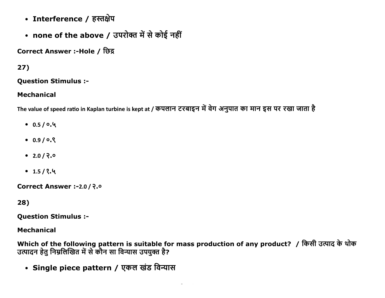- Interference / हस्तक्षेप
- none of the above / उपरोक्त में से कोई नहीं

Correct Answer :-Hole / छिद्र

## $27)$

**Question Stimulus :-**

### **Mechanical**

The value of speed ratio in Kaplan turbine is kept at / कपलान टरबाइन में वेग अनुपात का मान इस पर रखा जाता है

- $0.5/0.4$
- $0.9 / 0.8$
- $2.0 / 2.0$
- $-1.5/2.4$

Correct Answer :- 2.0 / २.०

28)

**Question Stimulus :-**

**Mechanical** 

Which of the following pattern is suitable for mass production of any product? / किसी उत्पाद के थोक उत्पादन हेतु निम्नलिखित में से कौन सा विन्यास उपयुक्त है?

• Single piece pattern / एकल खंड विन्यास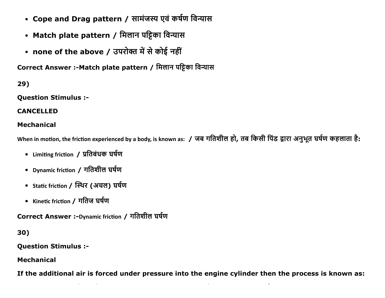- Cope and Drag pattern / सामंजस्य एवं कर्षण विन्यास
- Match plate pattern / मिलान पट्टिका विन्यास
- none of the above / उपरोक्त में से कोई नहीं

Correct Answer :- Match plate pattern / मिलान पट्टिका विन्यास

 $29)$ 

**Question Stimulus :-**

**CANCELLED** 

### **Mechanical**

When in motion, the friction experienced by a body, is known as: / जब गतिशील हो, तब किसी पिंड द्वारा अनुभूत घर्षण कहलाता है:

- Limiting friction / प्रतिबंधक घर्षण
- Dynamic friction / गतिशील घर्षण
- Static friction / स्थिर (अचल) घर्षण
- Kinetic friction / गतिज घर्षण

Correct Answer :-Dynamic friction / गतिशील घर्षण

30)

**Ouestion Stimulus :-**

**Mechanical** 

If the additional air is forced under pressure into the engine cylinder then the process is known as: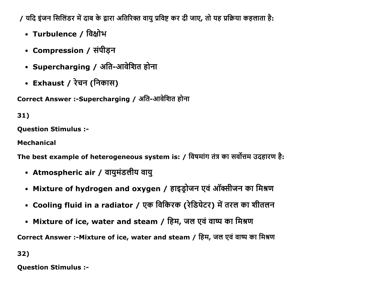/ यदि इंजन सिलिंडर में दाब के द्वारा अतिरिक्त वायु प्रविष्ट कर दी जाए, तो यह प्रक्रिया कहलाता है:

- Turbulence / विक्षोभ
- Compression / संपीड़न
- Supercharging / अति-आवेशित होना
- Exhaust / रेचन (निकास)

Correct Answer :-Supercharging / अति-आवेशित होना

# $31)$

**Question Stimulus :-**

**Mechanical** 

The best example of heterogeneous system is: / विषमांग तंत्र का सर्वोत्तम उदहारण है:

- Atmospheric air / वायुमंडलीय वायु
- Mixture of hydrogen and oxygen / हाइड्रोजन एवं ऑक्सीजन का मिश्रण
- Cooling fluid in a radiator / एक विकिरक (रेडियेटर) में तरल का शीतलन
- Mixture of ice, water and steam / हिम, जल एवं वाष्प का मिश्रण

Correct Answer :- Mixture of ice, water and steam / हिम, जल एवं वाष्प का मिश्रण

32)

**Question Stimulus :-**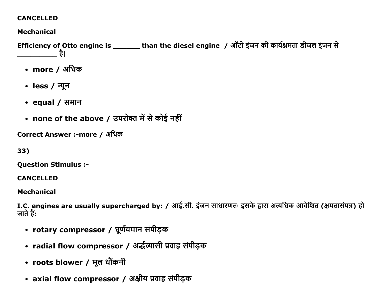### **CANCELLED**

## **Mechanical**

Efficiency of Otto engine is \_\_\_\_\_\_\_\_ than the diesel engine / ऑटो इंजन की कार्यक्षमता डीजल इंजन से ा है।

- more / अधिक
- less / न्यून
- equal /  $\overline{H}$  समान
- none of the above / उपरोक्त में से कोई नहीं

Correct Answer :-more / अधिक

33)

**Question Stimulus :-**

**CANCELLED** 

**Mechanical** 

I.C. engines are usually supercharged by: / आई.सी. इंजन साधारणतः इसके द्वारा अत्यधिक आवेशित (क्षमतासंपन्न) हो जाते हैं:

- rotary compressor / घूर्णयमान संपीड़क
- radial flow compressor / अर्द्धव्यासी प्रवाह संपीड़क
- roots blower / मूल धौंकनी
- axial flow compressor / अक्षीय प्रवाह संपीड़क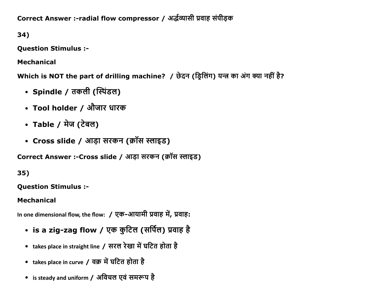Correct Answer :-radial flow compressor / अर्द्धव्यासी प्रवाह संपीड़क

34)

**Question Stimulus :-**

**Mechanical** 

Which is NOT the part of drilling machine? / छेदन (ड्रिलिंग) यन्त्र का अंग क्या नहीं है?

- Spindle / तकली (स्पिंडल)
- Tool holder / औजार धारक
- Table / मेज (टेबल)
- Cross slide / आड़ा सरकन (क्रॉस स्लाइड)

Correct Answer :-Cross slide / आड़ा सरकन (क्रॉस स्लाइड)

35)

**Question Stimulus :-**

# **Mechanical**

In one dimensional flow, the flow: / एक-आयामी प्रवाह में, प्रवाह:

- is a zig-zag flow / एक कुटिल (सर्पिल) प्रवाह है
- takes place in straight line / सरल रेखा में घटित होता है
- takes place in curve / वक्र में घटित होता है
- is steady and uniform / अविचल एवं समरूप है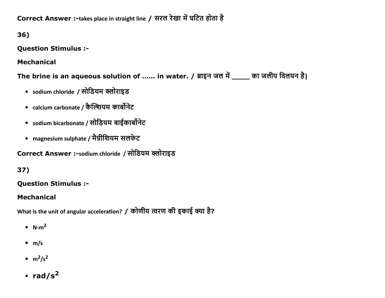Correct Answer :-takes place in straight line / सरल रेखा में घटित होता है

36)

**Question Stimulus :-**

**Mechanical** 

The brine is an aqueous solution of ...... in water. / ब्राइन जल में \_\_\_\_ का जलीय विलयन है।

- sodium chloride / सोडियम क्लोराइड
- calcium carbonate / कैल्शियम कार्बोनेट
- sodium bicarbonate / सोडियम बाईकार्बोनेट
- magnesium sulphate / मैग्नीशियम सलफेट

Correct Answer :-sodium chloride / सोडियम क्लोराइड

# 37)

# **Ouestion Stimulus :-**

# **Mechanical**

What is the unit of angular acceleration? / कोणीय त्वरण की इकाई क्या है?

- $N-m^2$
- $\bullet$  m/s
- $\cdot$  m<sup>2</sup>/s<sup>2</sup>
- rad/s<sup>2</sup>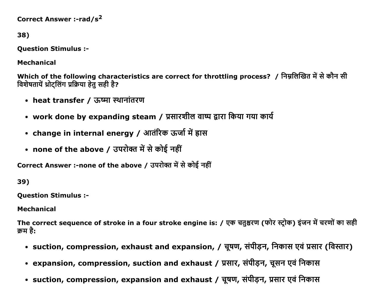```
Correct Answer :-rad/s<sup>2</sup>
```

```
38)
```
**Ouestion Stimulus :-**

**Mechanical** 

Which of the following characteristics are correct for throttling process? / निम्नलिखित में से कौन सी विशेषतायें थ्रोट्लिंग प्रक्रिया हेतु सही है?

- heat transfer / ऊष्मा स्थानांतरण
- work done by expanding steam / प्रसारशील वाष्प द्वारा किया गया कार्य
- change in internal energy / आतंरिक ऊर्जा में ह्रास
- none of the above / उपरोक्त में से कोई नहीं

Correct Answer :-none of the above / उपरोक्त में से कोई नहीं

39)

**Question Stimulus :-**

**Mechanical** 

The correct sequence of stroke in a four stroke engine is: / एक चतुश्चरण (फोर स्ट्रोक) इंजन में चरणों का सही क्रम है:

- suction, compression, exhaust and expansion, / चूषण, संपीड़न, निकास एवं प्रसार (विस्तार)
- expansion, compression, suction and exhaust / प्रसार, संपीड़न, चूसन एवं निकास
- suction, compression, expansion and exhaust / चूषण, संपीड़न, प्रसार एवं निकास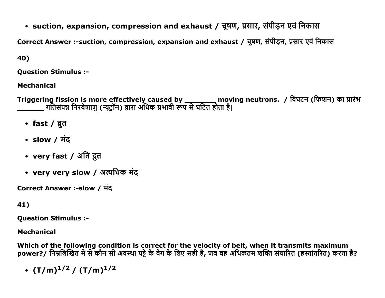• suction, expansion, compression and exhaust / चूषण, प्रसार, संपीड़न एवं निकास

Correct Answer :-suction, compression, expansion and exhaust / चूषण, संपीड़न, प्रसार एवं निकास

40)

**Question Stimulus :-**

**Mechanical** 

Triggering fission is more effectively caused by \_\_\_\_\_\_\_\_\_ moving neutrons. / विघटन (फिशन) का प्रारंभ<br>\_\_\_\_\_\_\_\_ गतिसंपन्न निरवेशाणु (न्यूट्रॉन) द्वारा अधिक प्रभावी रूप से घटित होता है।

- fast /  $\bar{x}$ त
- slow /  $\overline{4}$
- very fast / अति द्रुत
- very very slow / अत्यधिक मंद

Correct Answer :-slow / मंद

# 41)

**Ouestion Stimulus :-**

# **Mechanical**

Which of the following condition is correct for the velocity of belt, when it transmits maximum power?/ निम्नलिखित में से कौन सी अवस्था पट्टे के वेग के लिए सही है, जब वह अधिकतम शक्ति संचारित (हस्तांतरित) करता है?

•  $(T/m)^{1/2} / (T/m)^{1/2}$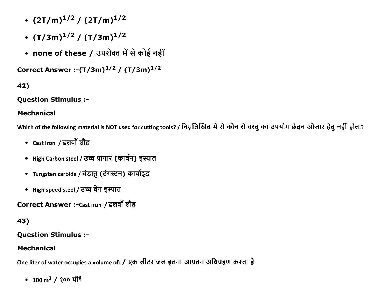- $(2T/m)^{1/2} / (2T/m)^{1/2}$
- $(T/3m)^{1/2} / (T/3m)^{1/2}$
- none of these / उपरोक्त में से कोई नहीं

Correct Answer :- $(T/3m)^{1/2}$  /  $(T/3m)^{1/2}$ 

# 42)

**Question Stimulus :-**

### **Mechanical**

Which of the following material is NOT used for cutting tools? / निम्नलिखित में से कौन से वस्तु का उपयोग छेदन औजार हेतु नहीं होता?

- Cast iron / ढलवाँ लौह
- High Carbon steel / उच्च प्रांगार (कार्बन) इस्पात
- Tungsten carbide / चंडातु (टंगस्टन) कार्बाइड
- High speed steel / उच्च वेग इस्पात

Correct Answer :-Cast iron / ढलवाँ लौह

# 43)

**Question Stimulus :-**

## **Mechanical**

One liter of water occupies a volume of: / एक लीटर जल इतना आयतन अधिग्रहण करता है

• 100 m<sup>3</sup> / 200 मी<sup>3</sup>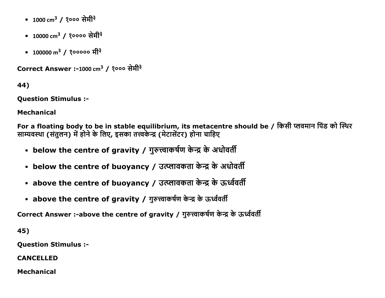- 1000 cm<sup>3</sup> / १००० सेमी<sup>३</sup>
- 10000 cm<sup>3</sup> / १०००० सेमी<sup>३</sup>
- 100000 m<sup>3</sup> / १००००० मी<sup>३</sup>

Correct Answer :-1000 cm $^3$  / १००० सेमी<sup>३</sup>

44)

Question Stimulus :

Mechanical

For a floating body to be in stable equilibrium, its metacentre should be / किसी प्लवमान पिंड को स्थिर साम्यवस्था (संतुलन) में होने के लिए, इसका तत्त्वकेन्द्र (मेटासेंटर) होना चाहिए

- below the centre of gravity / गुरुत्त्वाकर्षण केन्द्र के अधोवर्ती
- below the centre of buoyancy / उत्प्लावकता केन्द्र के अधोवर्ती
- above the centre of buoyancy / उत्प्लावकता केन्द्र के ऊर्ध्ववर्ती
- above the centre of gravity / गुरुत्त्वाकर्षण केन्द्र के ऊर्ध्ववर्ती

Correct Answer :-above the centre of gravity / गुरुत्त्वाकर्षण केन्द्र के ऊर्ध्ववर्ती

45)

Question Stimulus :

CANCELLED

Mechanical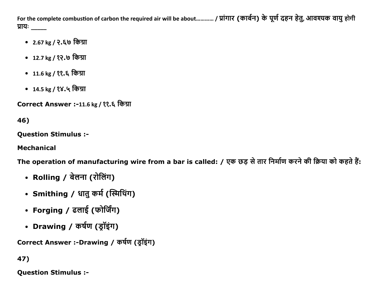For the complete combustion of carbon the required air will be about………… / प्रांगार (कार्बन) के पूर्ण दहन हेतु, आवश्यक वायु होगी प्रायः

- 2.67 kg / २.६७ किग्रा
- 12.7 kg / १२.७ किग्रा
- 11.6 kg / ??. ६ किग्रा
- 14.5 kg / १४.५ किग्रा

Correct Answer :-11.6 kg / ११.६ किग्रा

46)

**Question Stimulus :-**

**Mechanical** 

The operation of manufacturing wire from a bar is called: / एक छड़ से तार निर्माण करने की क्रिया को कहते हैं:

- Rolling / बेलना (रोलिंग)
- Smithing / धातु कर्म (स्मिथिंग)
- Forging / ढलाई (फोर्जिंग)
- Drawing / कर्षण (ड्रॉइंग)

Correct Answer :-Drawing / कर्षण (ड्रॉइंग)

47)

**Question Stimulus :-**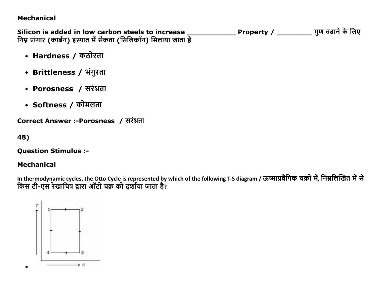#### **Mechanical**

Silicon is added in low carbon steels to increase \_\_<br>निम्न प्रांगार (कार्बन) इस्पात में सैकता (सिलिकॉन) मिलाया जाता है Property / \_\_\_\_\_\_\_\_\_\_\_\_ गुण बढ़ाने के लिए

- Hardness / कठोरता
- Brittleness / भंगुरता
- Porosness / सरंध्रता
- Softness / कोमलता

Correct Answer :-Porosness / सरंध्रता

48)

**Question Stimulus :-**

## **Mechanical**

In thermodynamic cycles, the Otto Cycle is represented by which of the following T-S diagram / ऊष्माप्रवैगिक चक्रों में, निम्नलिखित में से किस टी-एस रेखाचित्र द्वारा ऑटो चक्र को दर्शाया जाता है?

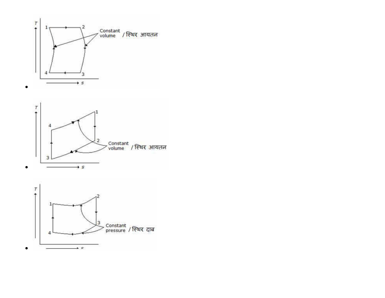



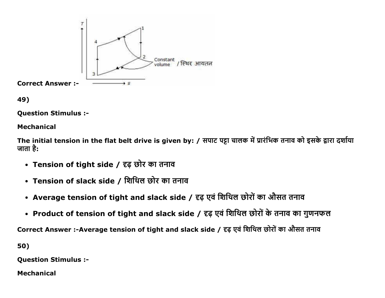



Question Stimulus :

#### Mechanical

The initial tension in the flat belt drive is given by: / सपाट पट्टा चालक में प्रारंभिक तनाव को इसके द्वारा दर्शाया जाता है:

- Tension of tight side / दृढ़ छोर का तनाव
- Tension of slack side / शिथिल छोर का तनाव
- Average tension of tight and slack side / दृढ़ एवं शिथिल छोरों का औसत तनाव
- Product of tension of tight and slack side / दृढ़ एवं शिथिल छोरों के तनाव का गुणनफल

Correct Answer :-Average tension of tight and slack side / दृढ़ एवं शिथिल छोरों का औसत तनाव

50)

Question Stimulus :

Mechanical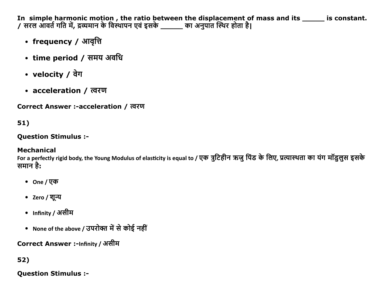In simple harmonic motion , the ratio between the displacement of mass and its \_\_\_\_\_\_\_ is constant.<br>/ सरल आवर्त गति में, द्रव्यमान के विस्थापन एवं इसके \_\_\_\_\_\_ का अनुपात स्थिर होता है।

- frequency / आवृत्ति
- time period / समय अवधि
- velocity  $/$  वेग
- acceleration / त्वरण

Correct Answer :-acceleration / त्वरण

# 51)

### **Ouestion Stimulus :-**

# **Mechanical**

For a perfectly rigid body, the Young Modulus of elasticity is equal to / एक त्रूटिहीन ऋजू पिंड के लिए, प्रत्यास्थता का यंग मॉडुलूस इसके समान है:

- One / एक
- Zero / शून्य
- Infinity / असीम
- None of the above / उपरोक्त में से कोई नहीं

# Correct Answer :-Infinity / असीम

# 52)

# **Question Stimulus :-**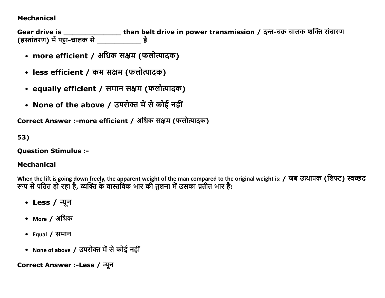#### **Mechanical**

Gear drive is \_\_\_\_\_\_\_\_\_\_\_\_\_\_\_\_\_\_than belt drive in power transmission / दन्त-चक्र चालक शक्ति संचारण<br>(हस्तांतरण) में पट्टा-चालक से \_\_\_\_\_\_\_\_\_\_\_\_\_\_ है

- more efficient / अधिक सक्षम (फलोत्पादक)
- less efficient / कम सक्षम (फलोत्पादक)
- equally efficient / समान सक्षम (फलोत्पादक)
- None of the above / उपरोक्त में से कोई नहीं

Correct Answer :-more efficient / अधिक सक्षम (फलोत्पादक)

53)

**Question Stimulus :-**

## **Mechanical**

When the lift is going down freely, the apparent weight of the man compared to the original weight is: / जब उत्थापक (लिफ्ट) स्वच्छंद<br>रूप से पतित हो रहा है, व्यक्ति के वास्तविक भार की तुलना में उसका प्रतीत भार है:

- Less / न्यून
- More / अधिक
- Equal /  $\overline{H}$  समान
- None of above / उपरोक्त में से कोई नहीं

Correct Answer :-Less / न्यून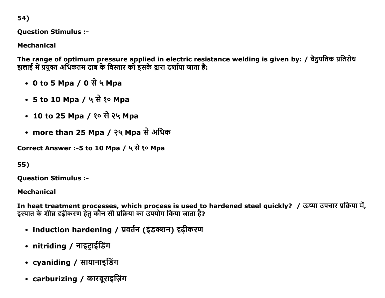54)

**Ouestion Stimulus :-**

**Mechanical** 

The range of optimum pressure applied in electric resistance welding is given by: / वैदुयतिक प्रतिरोध झलाई में प्रयुक्त अधिकतम दाब के विस्तार को इसके द्वारा दर्शाया जाता है:

- 0 to 5 Mpa / 0 से ५ Mpa
- 5 to 10 Mpa / ५ से १० Mpa
- 10 to 25 Mpa / १० से २५ Mpa
- more than 25 Mpa / २५ Mpa से अधिक

Correct Answer :-5 to 10 Mpa / ५ से १० Mpa

55)

**Question Stimulus :-**

**Mechanical** 

In heat treatment processes, which process is used to hardened steel quickly? / ऊष्मा उपचार प्रक्रिया में, इस्पात के शीघ्र दृढ़ीकरण हेतु कौन सी प्रक्रिया का उपयोग किया जाता है?

- induction hardening / प्रवर्तन (इंडक्शन) दृढीकरण
- nitriding / नाइट्राईडिंग
- $c$ vaniding / सायानाइडिंग
- carburizing / कारबुराइज़िंग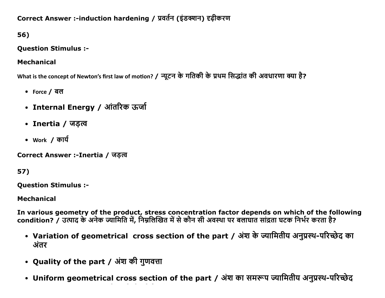# Correct Answer :-induction hardening / प्रवर्तन (इंडक्शन) दृढीकरण

56)

# **Question Stimulus :-**

# **Mechanical**

What is the concept of Newton's first law of motion? / न्यूटन के गतिकी के प्रथम सिद्धांत की अवधारणा क्या है?

- Force / बल
- Internal Energy / आंतरिक ऊर्जा
- Inertia / जडत्व
- Work / कार्य

Correct Answer :-Inertia / जड़त्व

57)

**Question Stimulus :-**

**Mechanical** 

In various geometry of the product, stress concentration factor depends on which of the following condition? / उत्पाद के अनेक ज्यामिति में, निम्नलिखित में से कौन सी अवस्था पर बलाघात सांद्रता घटक निर्भर करता है?

- Variation of geometrical cross section of the part / अंश के ज्यामितीय अनुप्रस्थ-परिच्छेद का अंतर
- Quality of the part / अंश की गुणवत्ता
- Uniform geometrical cross section of the part / अंश का समरूप ज्यामितीय अनुप्रस्थ-परिच्छेद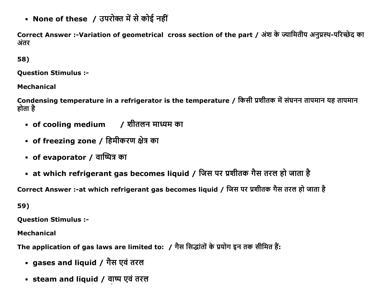• None of these / उपरोक्त में से कोई नहीं

Correct Answer :-Variation of geometrical cross section of the part / अंश के ज्यामितीय अनुप्रस्थ-परिच्छेद का अंतर

58)

**Ouestion Stimulus :-**

**Mechanical** 

Condensing temperature in a refrigerator is the temperature / किसी प्रशीतक में संघनन तापमान यह तापमान होता है

- of cooling medium / शीतलन माध्यम का
- of freezing zone / हिमीकरण क्षेत्र का
- of evaporator / বাআির কা
- at which refrigerant gas becomes liquid / जिस पर प्रशीतक गैस तरल हो जाता है

Correct Answer :-at which refrigerant gas becomes liguid / जिस पर प्रशीतक गैस तरल हो जाता है

59)

**Question Stimulus :-**

**Mechanical** 

The application of gas laws are limited to: / गैस सिद्धांतों के प्रयोग इन तक सीमित हैं:

- gases and liquid / गैस एवं तरल
- steam and liquid / वाष्प एवं तरल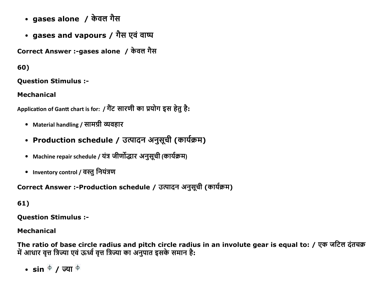- gases alone / केवल गैस
- gases and vapours / गैस एवं वाष्प

Correct Answer :-gases alone / केवल गैस

60)

**Question Stimulus :-**

**Mechanical** 

Application of Gantt chart is for: / गैंट सारणी का प्रयोग इस हेतु है:

- Material handling / सामग्री व्यवहार
- Production schedule / उत्पादन अनुसूची (कार्यक्रम)
- Machine repair schedule / यंत्र जीर्णोद्धार अनुसूची (कार्यक्रम)
- Inventory control / वस्तु नियंत्रण

Correct Answer :-Production schedule / उत्पादन अनुसूची (कार्यक्रम)

61)

**Ouestion Stimulus :-**

### **Mechanical**

The ratio of base circle radius and pitch circle radius in an involute gear is equal to: / एक जटिल दंतचक्र में आधार वृत्त त्रिज्या एवं ऊर्ध्व वृत्त त्रिज्या का अनुपात इसके समान है:

• sin  $\overset{\oplus}{ }$  / ज्या  $\overset{\oplus}{ }$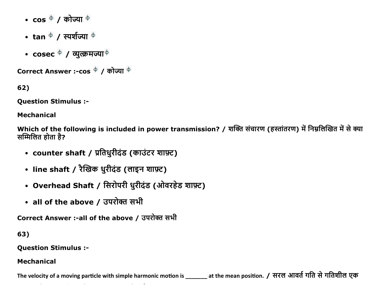- $\cos \phi / \sin \phi$
- tan  $\overset{\Leftrightarrow}{ }$  / स्पर्शज्या  $\overset{\Leftrightarrow}{ }$
- $\csc \phi / \sqrt{2}$  (अल्क्रमज्या $\phi$

Correct Answer :- $\cos^{-\varphi}/\sin^{-\varphi}$ 

62)

**Question Stimulus :-**

**Mechanical** 

Which of the following is included in power transmission? / शक्ति संचारण (हस्तांतरण) में निम्नलिखित में से क्या सम्मिलित होता है?

- counter shaft / प्रतिधुरीदंड (काउंटर शाफ़्ट)
- line shaft / रैखिक धुरीदंड (लाइन शाफ़्ट)
- Overhead Shaft / सिरोपरी धुरीदंड (ओवरहेड शाफ़्ट)
- all of the above / उपरोक्त सभी

Correct Answer :-all of the above / उपरोक्त सभी

63)

**Question Stimulus :-**

#### **Mechanical**

The velocity of a moving particle with simple harmonic motion is \_\_\_\_\_\_\_ at the mean position. / सरल आवर्त गति से गतिशील एक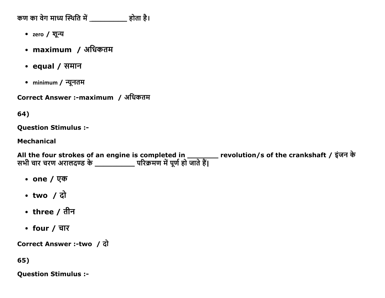कण का वेग माध्य स्थिति में \_\_\_\_\_\_\_\_\_\_ होता है।

- zero / शून्य
- maximum / अधिकतम
- equal /  $\overline{H}$  समान
- minimum / न्यूनतम

Correct Answer :-maximum / अधिकतम

#### 64)

**Question Stimulus :-**

#### **Mechanical**

All the four strokes of an engine is completed in \_\_\_\_\_\_\_\_\_ revolution/s of the crankshaft / इंजन के<br>सभी चार चरण अरालदण्ड के \_\_\_\_\_\_\_\_\_\_\_\_ परिक्रमण में पूर्ण हो जाते हैं।

- one /  $\nabla \Phi$
- $\cdot$  two / दो
- three / तीन
- four  $/$  चार

Correct Answer :-two / दो

65)

**Question Stimulus :-**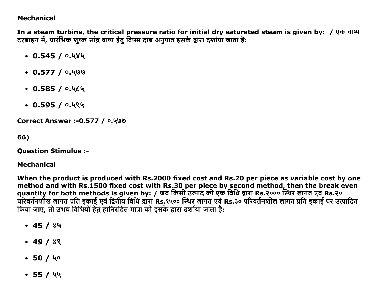#### **Mechanical**

In a steam turbine, the critical pressure ratio for initial dry saturated steam is given by: / एक वाष्प टरबाइन में, प्रारंभिक शुष्क सांद्र वाष्प हेतु विषम दाब अनुपात इसके द्वारा दर्शाया जाता है:

- $\cdot$  0.545 / 0.484
- $\cdot$  0.577 /  $\circ$ .400
- $0.585/0.464$
- $\cdot$  0.595 / 0.494

**Correct Answer :- 0.577 / 0.400** 

66)

**Question Stimulus :-**

**Mechanical** 

When the product is produced with Rs.2000 fixed cost and Rs.20 per piece as variable cost by one method and with Rs.1500 fixed cost with Rs.30 per piece by second method, then the break even quantity for both methods is given by: / जब किसी उत्पाद को एक विधि द्वारा Rs.२००० स्थिर लागत एवं Rs.२० परिवर्तनशील लागत प्रति इकाई एवं द्वितीय विधि द्वारा Rs.१५०० स्थिर लागत एवं Rs.३० परिवर्तनशील लागत प्रति इकाई पर उत्पादित किया जाए. तो उभय विधियों हेतु हानिरहित मात्रा को इसके द्वारा दर्शाया जाता है:

- $\bullet$  45 / ४५
- $\cdot$  49 / 89
- $-50/40$
- $\bullet$  55 / 44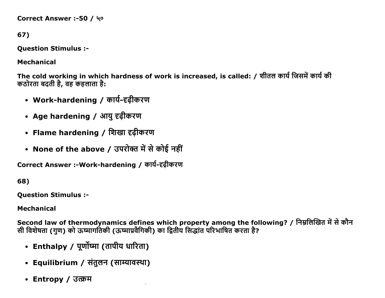```
Correct Answer :-50 / 4ο
```

```
67)
```
**Question Stimulus :-**

**Mechanical** 

The cold working in which hardness of work is increased, is called: / शीतल कार्य जिसमें कार्य की कठोरता बदती है, वह कहलाता है:

- Work-hardening / कार्य-दृढ़ीकरण
- Age hardening / आयु दृढ़ीकरण
- Flame hardening / शिखा दृढ़ीकरण
- None of the above / उपरोक्त में से कोई नहीं

Correct Answer :-Work-hardening / कार्य-दृढ़ीकरण

68)

**Ouestion Stimulus :-**

**Mechanical** 

Second law of thermodynamics defines which property among the following? / निम्नलिखित में से कौन सी विशेषता (गुण) को ऊष्मागतिकी (ऊष्माप्रवैगिकी) का द्वितीय सिद्धांत परिभाषित करता है?

- Enthalpy / पूर्णोष्मा (तापीय धारिता)
- Equilibrium / संतुलन (साम्यावस्था)
- Entropy / उत्क्रम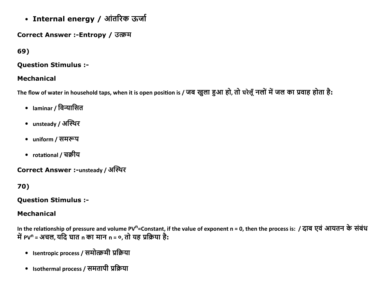• Internal energy / आंतरिक ऊर्जा

## Correct Answer :-Entropy / उत्क्रम

# 69)

#### **Question Stimulus :-**

#### **Mechanical**

The flow of water in household taps, when it is open position is / जब खुला हुआ हो, तो घरेलूँ नलों में जल का प्रवाह होता है:

- laminar / विन्यासित
- unsteady / अस्थिर
- uniform / समरूप
- rotational / चक्रीय

Correct Answer :-unsteady / अस्थिर

# 70)

#### **Ouestion Stimulus :-**

### **Mechanical**

In the relationship of pressure and volume PV<sup>n</sup>=Constant, if the value of exponent n = 0, then the process is: / दाब एवं आयतन के संबंध में PV<sup>n</sup> = अचल, यदि घात n का मान n = 0, तो यह प्रक्रिया है:

- Isentropic process / समोत्क्रमी प्रक्रिया
- Isothermal process / समतापी प्रक्रिया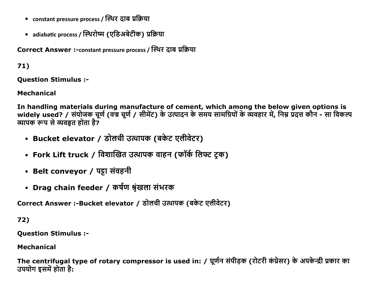- constant pressure process / स्थिर दाब प्रक्रिया
- adiabatic process / स्थिरोष्म (एडिअबेटीक) प्रक्रिया

Correct Answer :-constant pressure process / स्थिर दाब प्रक्रिया

# $71)$

**Ouestion Stimulus :-**

## **Mechanical**

In handling materials during manufacture of cement, which among the below given options is widely used? / संयोजक चूर्ण (वज्र चूर्ण / सीमेंट) के उत्पादन के समय सामग्रियों के व्यवहार में, निम्न प्रदत्त कौन - सा विकल्प व्यापक रूप से व्यवहृत होता है?

- Bucket elevator / डोलची उत्थापक (बकेट एलीवेटर)
- Fork Lift truck / विशाखित उत्थापक वाहन (फॉर्क लिफ्ट ट्रक)
- Belt conveyor / पट्टा संवहनी
- Drag chain feeder / कर्षण श्रृंखला संभरक

Correct Answer :-Bucket elevator / डोलची उत्थापक (बकेट एलीवेटर)

72)

**Question Stimulus :-**

**Mechanical** 

The centrifugal type of rotary compressor is used in: / घूर्णन संपीड़क (रोटरी कंप्रेसर) के अपकेन्द्री प्रकार का उपयोग इसमें होता है: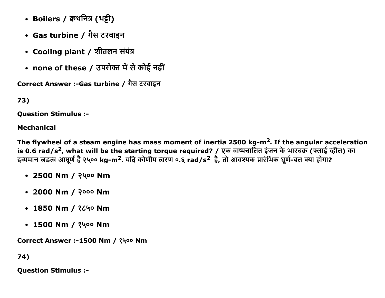- Boilers / कथनित्र (भट्टी)
- Gas turbine / गैस टरबाइन
- Cooling plant / शीतलन संयंत्र
- none of these / उपरोक्त में से कोई नहीं

```
Correct Answer :-Gas turbine / गैस टरबाइन
```

```
73)
```
**Ouestion Stimulus :-**

## **Mechanical**

The flywheel of a steam engine has mass moment of inertia 2500 kg-m<sup>2</sup>. If the angular acceleration is 0.6 rad/s<sup>2</sup>, what will be the starting torque required? / एक वाष्पचालित इंजन के भारचक्र (फ्लाई व्हील) का द्रव्यमान जड़त्व आघूर्ण है २५०० kg-m<sup>2</sup>. यदि कोणीय त्वरण ०.६ rad/s<sup>2</sup> है, तो आवश्यक प्रारंभिक घूर्ण-बल क्या होगा?

- 2500 Nm / २५०० Nm
- 2000 Nm / २००० Nm
- 1850 Nm / 2640 Nm
- 1500 Nm /  $3400$  Nm

Correct Answer :-1500 Nm / १५०० Nm

74)

**Question Stimulus :-**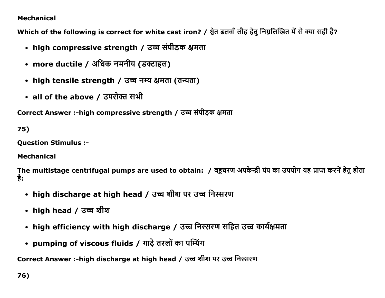### Mechanical

Which of the following is correct for white cast iron? / श्वेत ढलवाँ लौह हेतु निम्नलिखित में से क्या सही है?

- high compressive strength / उच्च संपीड़क क्षमता
- more ductile / अधिक नमनीय (डक्टाइल)
- high tensile strength / उच्च नम्य क्षमता (तन्यता)
- all of the above / उपरोक्त सभी

Correct Answer :-high compressive strength / उच्च संपीडक क्षमता

75)

Question Stimulus :

Mechanical

The multistage centrifugal pumps are used to obtain: / बहुचरण अपकेन्द्री पंप का उपयोग यह प्राप्त करनें हेतु होता है:

- high discharge at high head / उच्च शीश पर उच्च निस्सरण
- high head / उच्च शीश
- high efficiency with high discharge / उच्च निस्सरण सहित उच्च कार्यक्षमता
- pumping of viscous fluids / गाढ़े तरलों का पम्पिंग

Correct Answer :-high discharge at high head / उच्च शीश पर उच्च निस्सरण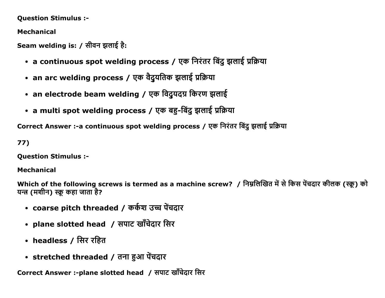#### **Question Stimulus :-**

**Mechanical** 

Seam welding is: / सीवन झलाई है:

- a continuous spot welding process / एक निरंतर बिंदु झलाई प्रक्रिया
- an arc welding process / एक वैदुयतिक झलाई प्रक्रिया
- an electrode beam welding / एक विदुयदग्र किरण झलाई
- a multi spot welding process / एक बहु-बिंदु झलाई प्रक्रिया

Correct Answer :- a continuous spot welding process / एक निरंतर बिंदु झलाई प्रक्रिया

 $77)$ 

**Question Stimulus :-**

#### **Mechanical**

Which of the following screws is termed as a machine screw? / निम्नलिखित में से किस पेंचदार कीलक (स्क्रू) को यन्त्र (मशीन) स्क्रू कहा जाता है?

- coarse pitch threaded / कर्कश उच्च पेंचदार
- plane slotted head / सपाट खाँचेदार सिर
- headless / सिर रहित
- stretched threaded / तना हुआ पेंचदार

Correct Answer :-plane slotted head / सपाट खाँचेदार सिर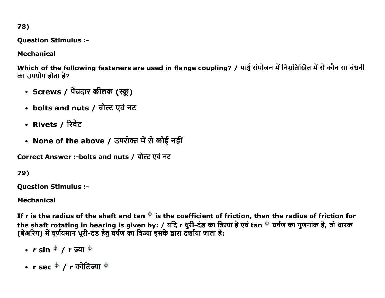78)

**Question Stimulus :-**

**Mechanical** 

Which of the following fasteners are used in flange coupling? / पार्श्व संयोजन में निम्नलिखित में से कौन सा बंधनी का उपयोग होता है?

- Screws / पेंचदार कीलक (स्क्रू)
- bolts and nuts / बोल्ट एवं नट
- Rivets / रिवेट
- None of the above / उपरोक्त में से कोई नहीं

Correct Answer :-bolts and nuts / बोल्ट एवं नट

79)

**Question Stimulus :-**

## **Mechanical**

If r is the radius of the shaft and tan  $\overline{\Phi}$  is the coefficient of friction, then the radius of friction for the shaft rotating in bearing is given by: / यदि r धुरी-दंड का त्रिज्या है एवं tan <sup>के</sup> घर्षण का गुणनांक है, तो धारक (बेअरिंग) में घूर्णयमान धूरी-दंड हेतु घर्षण का त्रिज्या इसके द्वारा दर्शाया जाता है:

- $r \sin \phi / r \overline{w}$ या  $\phi$
- r sec  $\phi$  / r कोटिज्या  $\phi$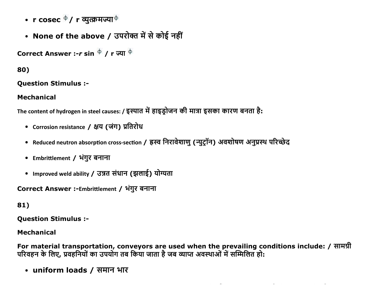- r cosec  $\phi$  / r व्युत्क्रमज्या $\phi$
- None of the above / उपरोक्त में से कोई नहीं

Correct Answer :- $r \sin \frac{\phi}{r}$  / r ज्या  $\frac{\phi}{r}$ 

80)

**Ouestion Stimulus :-**

**Mechanical** 

The content of hydrogen in steel causes: / इस्पात में हाइड़ोजन की मात्रा इसका कारण बनता है:

- Corrosion resistance / क्षय (जंग) प्रतिरोध
- Reduced neutron absorption cross-section / ह्रस्व निरावेशाण (न्यूटॉन) अवशोषण अनुप्रस्थ परिच्छेद
- Embrittlement / भंगुर बनाना
- Improved weld ability / उन्नत संधान (झलाई) योग्यता

Correct Answer :-Embrittlement / भंगुर बनाना

81)

**Question Stimulus :-**

**Mechanical** 

For material transportation, conveyors are used when the prevailing conditions include: / सामग्री परिवहन के लिए, प्रवहनियों का उपयोग तब किया जाता है जब व्याप्त अवस्थाओं में सम्मिलित हो:

• uniform loads / समान भार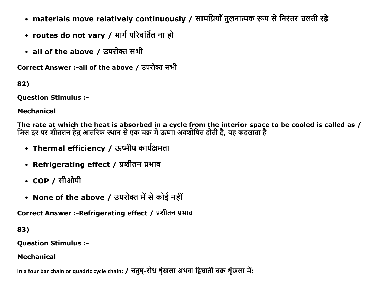- materials move relatively continuously / सामग्रियाँ तुलनात्मक रूप से निरंतर चलती रहें
- routes do not vary / मार्ग परिवर्तित ना हो
- all of the above / उपरोक्त सभी

Correct Answer :- all of the above / उपरोक्त सभी

82)

**Question Stimulus :-**

**Mechanical** 

The rate at which the heat is absorbed in a cycle from the interior space to be cooled is called as / जिस दर पर शीतलन हेतु आतंरिक स्थान से एक चक्र में ऊष्मा अवशोषित होती है, वह कहलाता है

- Thermal efficiency / ऊष्मीय कार्यक्षमता
- Refrigerating effect / प्रशीतन प्रभाव
- $COP /$  सीओपी
- None of the above / उपरोक्त में से कोई नहीं

Correct Answer :-Refrigerating effect / प्रशीतन प्रभाव

83)

**Question Stimulus :-**

## **Mechanical**

In a four bar chain or quadric cycle chain: / चतुष-रोध शृंखला अथवा द्विघाती चक्र शृंखला में: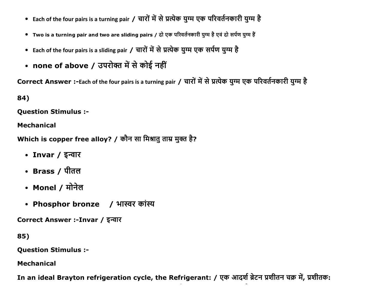- Each of the four pairs is a turning pair / चारों में से प्रत्येक युग्म एक परिवर्तनकारी युग्म है
- Two is a turning pair and two are sliding pairs / दो एक परिवर्तनकारी युग्म है एवं दो सर्पण युग्म हैं
- Each of the four pairs is a sliding pair / चारों में से प्रत्येक युग्म एक सर्पण युग्म है
- none of above / उपरोक्त में से कोई नहीं

Correct Answer :-Each of the four pairs is a turning pair / चारों में से प्रत्येक युग्म एक परिवर्तनकारी युग्म है

84)

**Question Stimulus :-**

**Mechanical** 

Which is copper free alloy? / कौन सा मिश्रातु ताम्र मुक्त है?

- Invar / इन्वार
- Brass / पीतल
- Monel / मोनेल
- Phosphor bronze / भास्वर कांस्य

Correct Answer :-Invar / इन्वार

85)

**Question Stimulus :-**

**Mechanical** 

In an ideal Brayton refrigeration cycle, the Refrigerant: / एक आदर्श ब्रेटन प्रशीतन चक्र में, प्रशीतक: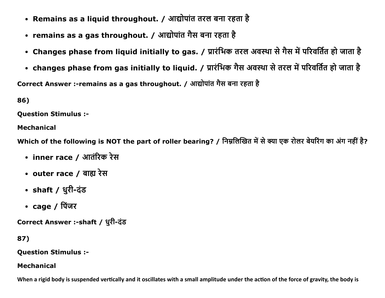- Remains as a liquid throughout. / आद्योपांत तरल बना रहता है
- remains as a gas throughout. / आद्योपांत गैस बना रहता है
- Changes phase from liquid initially to gas. / प्रारंभिक तरल अवस्था से गैस में परिवर्तित हो जाता है
- changes phase from gas initially to liquid. / प्रारंभिक गैस अवस्था से तरल में परिवर्तित हो जाता है

Correct Answer :-remains as a gas throughout. / आद्योपांत गैस बना रहता है

86)

**Ouestion Stimulus :-**

**Mechanical** 

Which of the following is NOT the part of roller bearing? / निम्नलिखित में से क्या एक रोलर बेयरिंग का अंग नहीं है?

- inner race / आतंरिक रेस
- outer race / बाह्य रेस
- shaft / धुरी-दंड
- $cage / f$ पिंजर

Correct Answer :-shaft / धूरी-दंड

# 87)

**Ouestion Stimulus :-**

### **Mechanical**

When a rigid body is suspended vertically and it oscillates with a small amplitude under the action of the force of gravity, the body is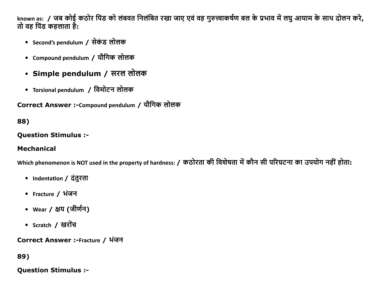known as: / जब कोई कठोर पिंड को लंबवत निलंबित रखा जाए एवं वह गुरुत्त्वाकर्षण बल के प्रभाव में लघु आयाम के साथ दोलन करे, तो वह पिंड कहलाता है:

- Second's pendulum / सेकंड लोलक
- Compound pendulum / यौगिक लोलक
- Simple pendulum / सरल लोलक
- Torsional pendulum / विमोटन लोलक

Correct Answer :-Compound pendulum / यौगिक लोलक

# 88)

#### **Question Stimulus :-**

### **Mechanical**

Which phenomenon is NOT used in the property of hardness: / कठोरता की विशेषता में कौन सी परिघटना का उपयोग नहीं होता:

- Indentation / दंतुरता
- Fracture / भंजन
- wear / क्षय (जीर्णन)
- Scratch / खरोंच

Correct Answer :-Fracture / भंजन

## 89)

**Ouestion Stimulus :-**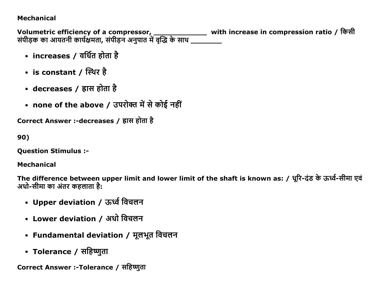### Mechanical

Volumetric efficiency of a compressor, \_\_\_\_\_\_\_\_\_\_\_\_\_\_\_\_\_\_\_\_\_ with increase in compression ratio / किसी सपेड़िक का आयतनी कार्यक्षमता, सपेड़िन अनुपात में वृद्धि के साथ \_\_\_\_\_\_\_\_\_\_

- increases / वर्धित होता है
- is constant / स्थिर है
- decreases / ह्रास होता है
- none of the above / उपरोक्त में से कोई नहीं

Correct Answer :-decreases / ह्रास होता है

90)

Question Stimulus :

Mechanical

The difference between upper limit and lower limit of the shaft is known as: / धूरि-दंड के ऊर्ध्व-सीमा एवं अधो-सीमा का अंतर कहलाता है:

- Upper deviation / ऊर्ध्व विचलन
- Lower deviation / अधो विचलन
- Fundamental deviation / मूलभूत विचलन
- Tolerance / सहिष्णुता

Correct Answer :-Tolerance / सहिष्णुता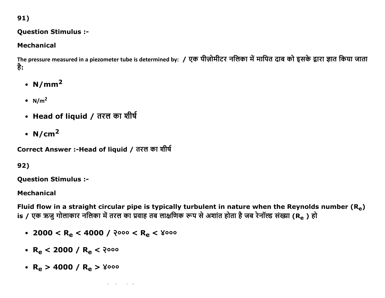91)

### **Question Stimulus :-**

# **Mechanical**

The pressure measured in a piezometer tube is determined by: / एक पीज़ोमीटर नलिका में मापित दाब को इसके द्वारा ज्ञात किया जाता है:

- $N/mm<sup>2</sup>$
- $N/m<sup>2</sup>$
- Head of liquid / तरल का शीर्ष
- $N/cm<sup>2</sup>$

Correct Answer :-Head of liquid / तरल का शीर्ष

# 92)

**Question Stimulus :-**

## **Mechanical**

Fluid flow in a straight circular pipe is typically turbulent in nature when the Reynolds number  $(R_e)$ is / एक ऋजु गोलाकार नलिका में तरल का प्रवाह तब लाक्षणिक रूप से अशांत होता है जब रेनॉल्ड संख्या (Re ) हो

• 2000 < R<sub>e</sub> < 4000 / २००० < R<sub>e</sub> < ४०००

- $R_e$  < 2000 /  $R_e$  < 2000
- $R_e > 4000 / R_e > 8000$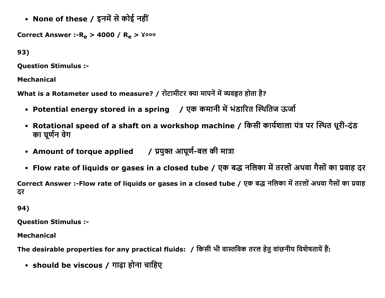• None of these / इनमें से कोई नहीं

Correct Answer :- $R_e > 4000 / R_e > 8000$ 

93)

Question Stimulus :

Mechanical

What is a Rotameter used to measure? / रोटामीटर क्या मापनें में व्यवहृत होता है?

- Potential energy stored in a spring / एक कमानी में भंडारित स्थितिज ऊर्जा
- Rotational speed of a shaft on a workshop machine / किसी कार्यशाला यंत्र पर स्थित धूरी-दंड का घूर्णन वेग
- Amount of torque applied / प्रयुक्त आघूर्ण-बल की मात्रा
- Flow rate of liquids or gases in a closed tube / एक बद्ध नलिका में तरलों अथवा गैसों का प्रवाह दर

Correct Answer :-Flow rate of liquids or gases in a closed tube / एक बद्ध नलिका में तरलों अथवा गैसों का प्रवाह ढर

94)

Question Stimulus :

Mechanical

The desirable properties for any practical fluids: / किसी भी वास्तविक तरल हेतु वांछनीय विशेषतायें हैं:

• should be viscous / गाढ़ा होना चाहिए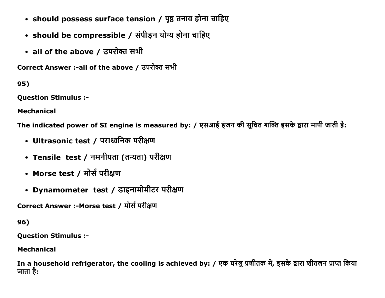- should possess surface tension / पृष्ठ तनाव होना चाहिए
- should be compressible / संपीड़न योग्य होना चाहिए
- all of the above / उपरोक्त सभी

Correct Answer :-all of the above / उपरोक्त सभी

95)

Question Stimulus :

Mechanical

The indicated power of SI engine is measured by: / एसआई इंजन की सुचित शक्ति इसके द्वारा मापी जाती है:

- Ultrasonic test / पराध्वनिक परीक्षण
- Tensile test / नमनीयता (तन्यता) परीक्षण
- Morse test / मोर्स परीक्षण
- Dynamometer test / डाइनामोमीटर परीक्षण

Correct Answer :-Morse test / मोर्स परीक्षण

96)

Question Stimulus :

Mechanical

In a household refrigerator, the cooling is achieved by: / एक घरेलू प्रशीतक में, इसके द्वारा शीतलन प्राप्त किया जाता है: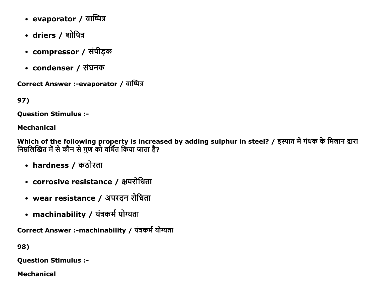- $\cdot$  evaporator / वाष्पित्र
- driers / शोषित्र
- compressor / संपीड़क
- condenser / संघनक

Correct Answer :-evaporator / वाष्पित्र

97)

Question Stimulus :

## Mechanical

Which of the following property is increased by adding sulphur in steel? / इस्पात में गंधक के मिलान द्वारा निम्नलिखित में से कौन से गुण को वर्धित किया जाता है?

- hardness / कठोरता
- corrosive resistance / क्षयरोधिता
- wear resistance / अपरदन रोधिता
- machinability / यंत्रकर्म योग्यता

Correct Answer :-machinability / यंत्रकर्म योग्यता

98)

Question Stimulus :

Mechanical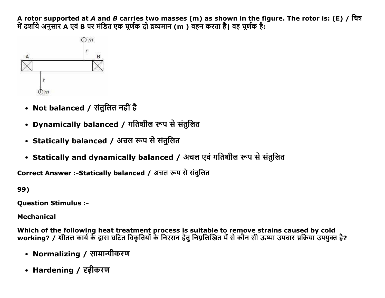A rotor supported at A and B carries two masses (m) as shown in the figure. The rotor is: (E) / चित्र में दर्शाये अनुसार A एवं B पर मंडित एक घूर्णक दो द्रव्यमान (m) वहन करता है। वह घूर्णक है:



- Not balanced / संतुलित नहीं है
- Dynamically balanced / गतिशील रूप से संतुलित
- Statically balanced / अचल रूप से संतुलित
- Statically and dynamically balanced / अचल एवं गतिशील रूप से संतुलित

Correct Answer :-Statically balanced / अचल रूप से संतुलित

99)

**Question Stimulus :-**

**Mechanical** 

Which of the following heat treatment process is suitable to remove strains caused by cold<br>working? / शीतल कार्य के द्वारा घटित विकृतियों के निरसन हेतु निम्नलिखित में से कौन सी ऊष्मा उपचार प्रक्रिया उपयुक्त है?

- Normalizing / सामान्यीकरण
- Hardening / दृढ़ीकरण